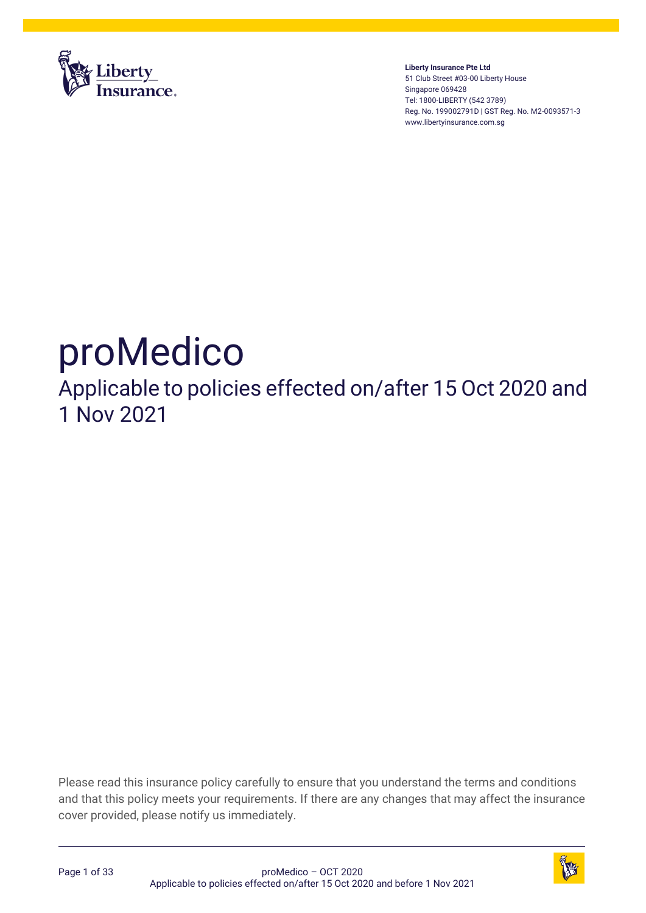

**Liberty Insurance Pte Ltd** 51 Club Street #03-00 Liberty House Singapore 069428 Tel: 1800-LIBERTY (542 3789) Reg. No. 199002791D | GST Reg. No. M2-0093571-3 www.libertyinsurance.com.sg

# proMedico

Applicable to policies effected on/after 15 Oct 2020 and 1 Nov 2021

Please read this insurance policy carefully to ensure that you understand the terms and conditions and that this policy meets your requirements. If there are any changes that may affect the insurance cover provided, please notify us immediately.



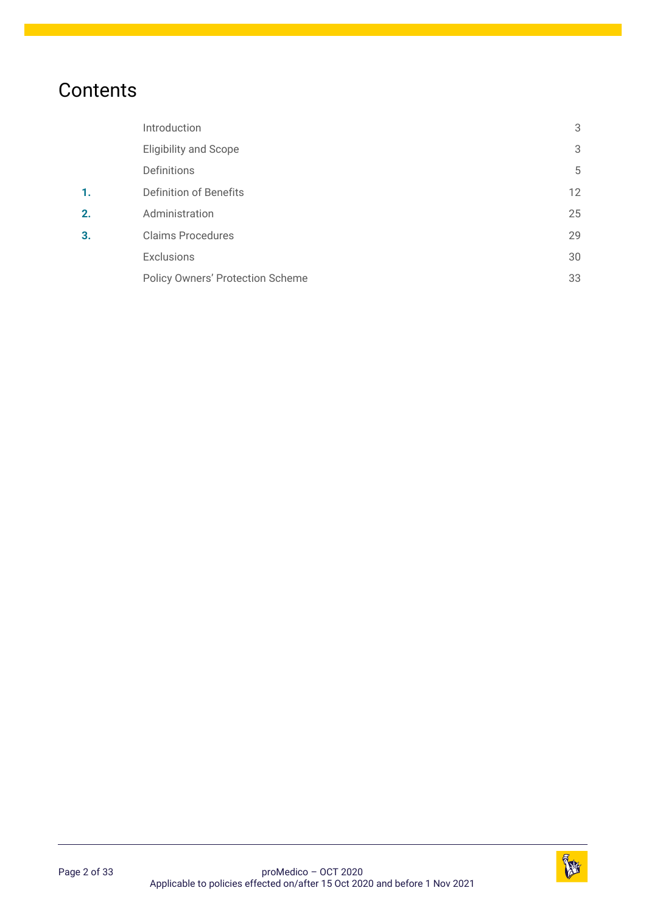# **Contents**

<span id="page-1-7"></span><span id="page-1-6"></span><span id="page-1-5"></span><span id="page-1-4"></span><span id="page-1-3"></span><span id="page-1-2"></span><span id="page-1-1"></span><span id="page-1-0"></span>

|    | Introduction                            | 3  |
|----|-----------------------------------------|----|
|    | <b>Eligibility and Scope</b>            | 3  |
|    | Definitions                             | 5  |
| 1. | <b>Definition of Benefits</b>           | 12 |
| 2. | Administration                          | 25 |
| 3. | <b>Claims Procedures</b>                | 29 |
|    | <b>Exclusions</b>                       | 30 |
|    | <b>Policy Owners' Protection Scheme</b> | 33 |

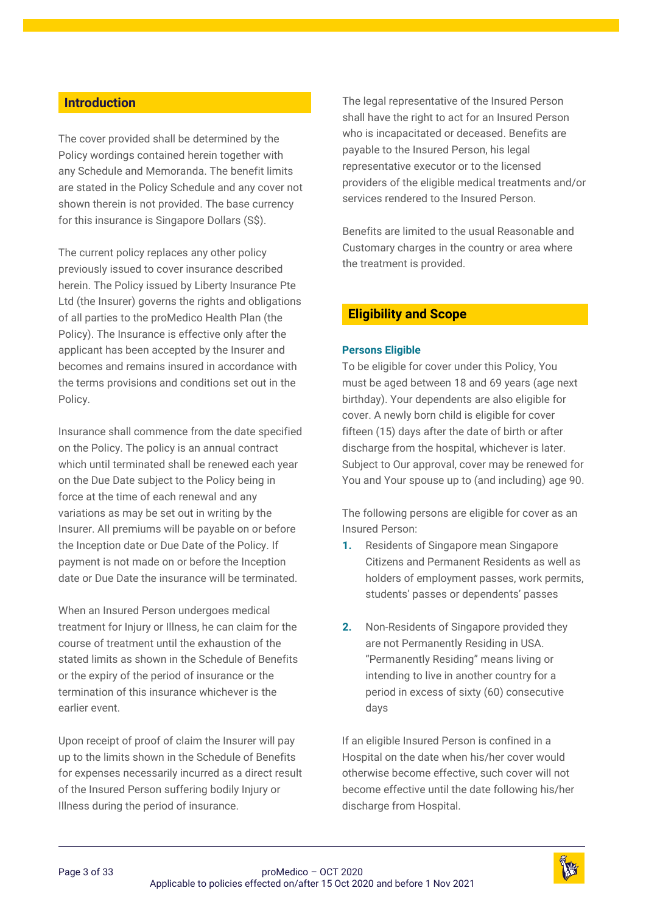# <span id="page-2-0"></span>**[Introduction](#page-1-0)**

The cover provided shall be determined by the Policy wordings contained herein together with any Schedule and Memoranda. The benefit limits are stated in the Policy Schedule and any cover not shown therein is not provided. The base currency for this insurance is Singapore Dollars (S\$).

The current policy replaces any other policy previously issued to cover insurance described herein. The Policy issued by Liberty Insurance Pte Ltd (the Insurer) governs the rights and obligations of all parties to the proMedico Health Plan (the Policy). The Insurance is effective only after the applicant has been accepted by the Insurer and becomes and remains insured in accordance with the terms provisions and conditions set out in the Policy.

Insurance shall commence from the date specified on the Policy. The policy is an annual contract which until terminated shall be renewed each year on the Due Date subject to the Policy being in force at the time of each renewal and any variations as may be set out in writing by the Insurer. All premiums will be payable on or before the Inception date or Due Date of the Policy. If payment is not made on or before the Inception date or Due Date the insurance will be terminated.

When an Insured Person undergoes medical treatment for Injury or Illness, he can claim for the course of treatment until the exhaustion of the stated limits as shown in the Schedule of Benefits or the expiry of the period of insurance or the termination of this insurance whichever is the earlier event.

Upon receipt of proof of claim the Insurer will pay up to the limits shown in the Schedule of Benefits for expenses necessarily incurred as a direct result of the Insured Person suffering bodily Injury or Illness during the period of insurance.

The legal representative of the Insured Person shall have the right to act for an Insured Person who is incapacitated or deceased. Benefits are payable to the Insured Person, his legal representative executor or to the licensed providers of the eligible medical treatments and/or services rendered to the Insured Person.

Benefits are limited to the usual Reasonable and Customary charges in the country or area where the treatment is provided.

# <span id="page-2-1"></span>**Eligibility [and Scope](#page-1-1)**

#### **Persons Eligible**

To be eligible for cover under this Policy, You must be aged between 18 and 69 years (age next birthday). Your dependents are also eligible for cover. A newly born child is eligible for cover fifteen (15) days after the date of birth or after discharge from the hospital, whichever is later. Subject to Our approval, cover may be renewed for You and Your spouse up to (and including) age 90.

The following persons are eligible for cover as an Insured Person:

- **1.** Residents of Singapore mean Singapore Citizens and Permanent Residents as well as holders of employment passes, work permits, students' passes or dependents' passes
- **2.** Non-Residents of Singapore provided they are not Permanently Residing in USA. "Permanently Residing" means living or intending to live in another country for a period in excess of sixty (60) consecutive days

If an eligible Insured Person is confined in a Hospital on the date when his/her cover would otherwise become effective, such cover will not become effective until the date following his/her discharge from Hospital.

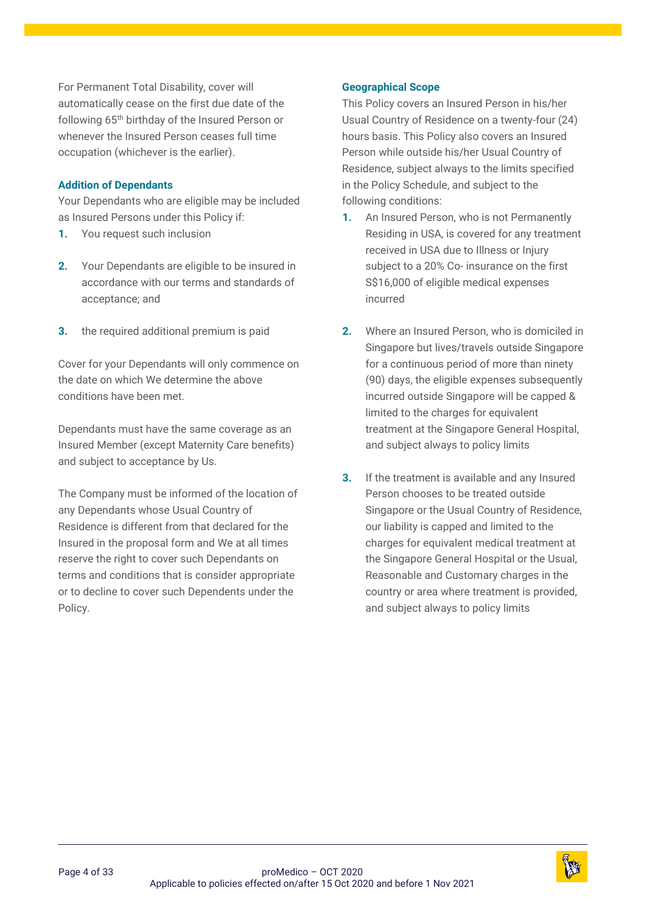For Permanent Total Disability, cover will automatically cease on the first due date of the following 65th birthday of the Insured Person or whenever the Insured Person ceases full time occupation (whichever is the earlier).

#### **Addition of Dependants**

Your Dependants who are eligible may be included as Insured Persons under this Policy if:

- **1.** You request such inclusion
- **2.** Your Dependants are eligible to be insured in accordance with our terms and standards of acceptance; and
- **3.** the required additional premium is paid

Cover for your Dependants will only commence on the date on which We determine the above conditions have been met.

Dependants must have the same coverage as an Insured Member (except Maternity Care benefits) and subject to acceptance by Us.

The Company must be informed of the location of any Dependants whose Usual Country of Residence is different from that declared for the Insured in the proposal form and We at all times reserve the right to cover such Dependants on terms and conditions that is consider appropriate or to decline to cover such Dependents under the Policy.

#### **Geographical Scope**

This Policy covers an Insured Person in his/her Usual Country of Residence on a twenty-four (24) hours basis. This Policy also covers an Insured Person while outside his/her Usual Country of Residence, subject always to the limits specified in the Policy Schedule, and subject to the following conditions:

- **1.** An Insured Person, who is not Permanently Residing in USA, is covered for any treatment received in USA due to Illness or Injury subject to a 20% Co- insurance on the first S\$16,000 of eligible medical expenses incurred
- **2.** Where an Insured Person, who is domiciled in Singapore but lives/travels outside Singapore for a continuous period of more than ninety (90) days, the eligible expenses subsequently incurred outside Singapore will be capped & limited to the charges for equivalent treatment at the Singapore General Hospital, and subject always to policy limits
- **3.** If the treatment is available and any Insured Person chooses to be treated outside Singapore or the Usual Country of Residence, our liability is capped and limited to the charges for equivalent medical treatment at the Singapore General Hospital or the Usual, Reasonable and Customary charges in the country or area where treatment is provided, and subject always to policy limits

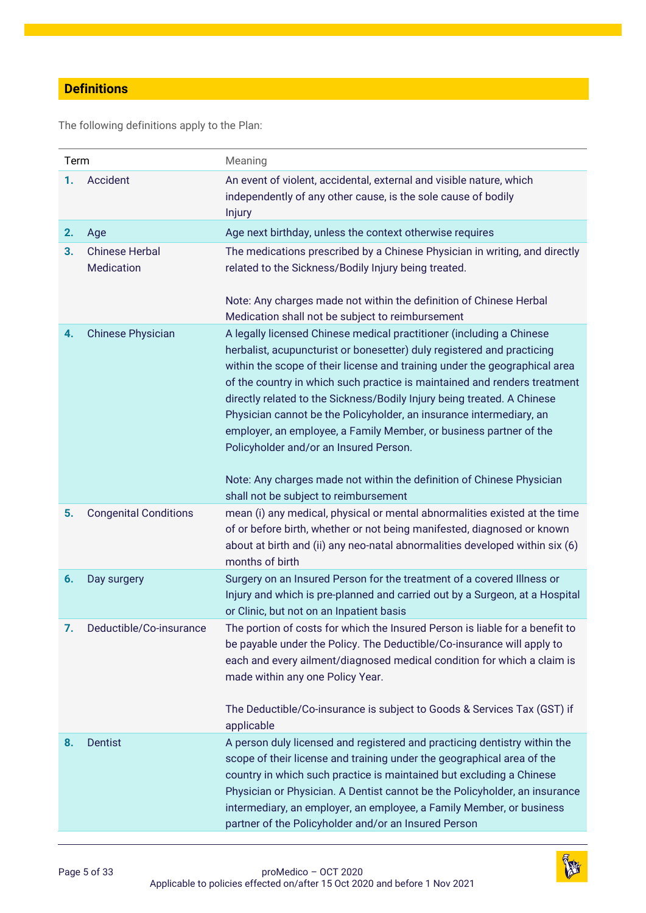# <span id="page-4-0"></span>**[Definitions](#page-1-2)**

The following definitions apply to the Plan:

| Term |                                     | Meaning                                                                                                                                                                                                                                                                                                                                                                                                                                                                                                                                                                     |
|------|-------------------------------------|-----------------------------------------------------------------------------------------------------------------------------------------------------------------------------------------------------------------------------------------------------------------------------------------------------------------------------------------------------------------------------------------------------------------------------------------------------------------------------------------------------------------------------------------------------------------------------|
| 1.   | Accident                            | An event of violent, accidental, external and visible nature, which<br>independently of any other cause, is the sole cause of bodily<br>Injury                                                                                                                                                                                                                                                                                                                                                                                                                              |
| 2.   | Age                                 | Age next birthday, unless the context otherwise requires                                                                                                                                                                                                                                                                                                                                                                                                                                                                                                                    |
| 3.   | <b>Chinese Herbal</b><br>Medication | The medications prescribed by a Chinese Physician in writing, and directly<br>related to the Sickness/Bodily Injury being treated.<br>Note: Any charges made not within the definition of Chinese Herbal                                                                                                                                                                                                                                                                                                                                                                    |
|      |                                     | Medication shall not be subject to reimbursement                                                                                                                                                                                                                                                                                                                                                                                                                                                                                                                            |
| 4.   | <b>Chinese Physician</b>            | A legally licensed Chinese medical practitioner (including a Chinese<br>herbalist, acupuncturist or bonesetter) duly registered and practicing<br>within the scope of their license and training under the geographical area<br>of the country in which such practice is maintained and renders treatment<br>directly related to the Sickness/Bodily Injury being treated. A Chinese<br>Physician cannot be the Policyholder, an insurance intermediary, an<br>employer, an employee, a Family Member, or business partner of the<br>Policyholder and/or an Insured Person. |
|      |                                     | Note: Any charges made not within the definition of Chinese Physician<br>shall not be subject to reimbursement                                                                                                                                                                                                                                                                                                                                                                                                                                                              |
| 5.   | <b>Congenital Conditions</b>        | mean (i) any medical, physical or mental abnormalities existed at the time<br>of or before birth, whether or not being manifested, diagnosed or known<br>about at birth and (ii) any neo-natal abnormalities developed within six (6)<br>months of birth                                                                                                                                                                                                                                                                                                                    |
| 6.   | Day surgery                         | Surgery on an Insured Person for the treatment of a covered Illness or<br>Injury and which is pre-planned and carried out by a Surgeon, at a Hospital<br>or Clinic, but not on an Inpatient basis                                                                                                                                                                                                                                                                                                                                                                           |
| 7.   | Deductible/Co-insurance             | The portion of costs for which the Insured Person is liable for a benefit to<br>be payable under the Policy. The Deductible/Co-insurance will apply to<br>each and every ailment/diagnosed medical condition for which a claim is<br>made within any one Policy Year.<br>The Deductible/Co-insurance is subject to Goods & Services Tax (GST) if                                                                                                                                                                                                                            |
|      |                                     | applicable                                                                                                                                                                                                                                                                                                                                                                                                                                                                                                                                                                  |
| 8.   | <b>Dentist</b>                      | A person duly licensed and registered and practicing dentistry within the<br>scope of their license and training under the geographical area of the<br>country in which such practice is maintained but excluding a Chinese<br>Physician or Physician. A Dentist cannot be the Policyholder, an insurance<br>intermediary, an employer, an employee, a Family Member, or business<br>partner of the Policyholder and/or an Insured Person                                                                                                                                   |

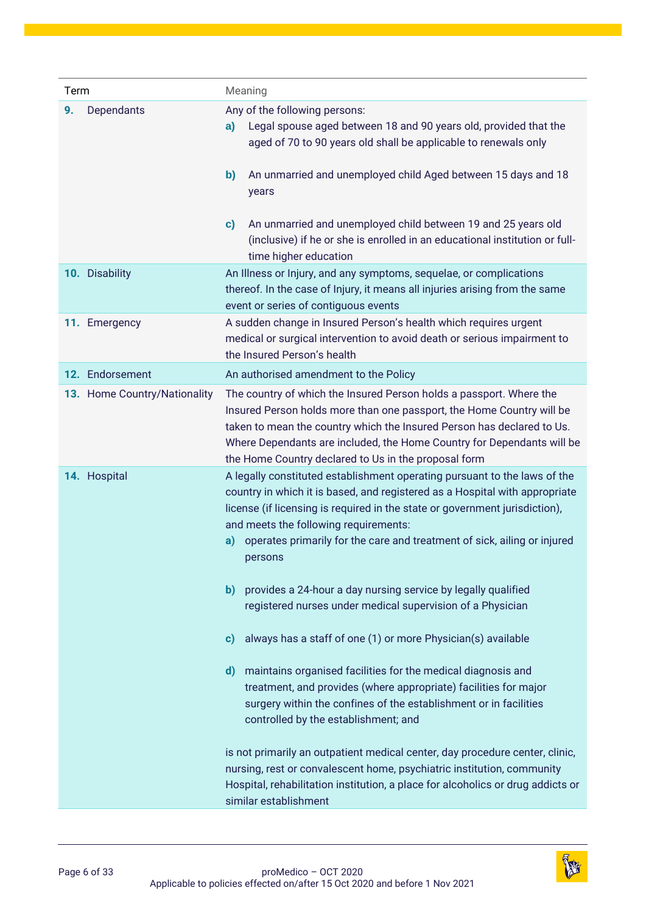| Term |                              | Meaning                                                                                                                                                                                                                                                                                                                                                                                                                                                                                                                                                                                                                                                                                                                                                                                                                                                                                                                                                                                                                                                                                                |
|------|------------------------------|--------------------------------------------------------------------------------------------------------------------------------------------------------------------------------------------------------------------------------------------------------------------------------------------------------------------------------------------------------------------------------------------------------------------------------------------------------------------------------------------------------------------------------------------------------------------------------------------------------------------------------------------------------------------------------------------------------------------------------------------------------------------------------------------------------------------------------------------------------------------------------------------------------------------------------------------------------------------------------------------------------------------------------------------------------------------------------------------------------|
| 9.   | Dependants                   | Any of the following persons:<br>Legal spouse aged between 18 and 90 years old, provided that the<br>a)<br>aged of 70 to 90 years old shall be applicable to renewals only<br>An unmarried and unemployed child Aged between 15 days and 18<br>$\mathbf{b}$<br>years                                                                                                                                                                                                                                                                                                                                                                                                                                                                                                                                                                                                                                                                                                                                                                                                                                   |
|      |                              | An unmarried and unemployed child between 19 and 25 years old<br>c)<br>(inclusive) if he or she is enrolled in an educational institution or full-<br>time higher education                                                                                                                                                                                                                                                                                                                                                                                                                                                                                                                                                                                                                                                                                                                                                                                                                                                                                                                            |
|      | 10. Disability               | An Illness or Injury, and any symptoms, sequelae, or complications<br>thereof. In the case of Injury, it means all injuries arising from the same<br>event or series of contiguous events                                                                                                                                                                                                                                                                                                                                                                                                                                                                                                                                                                                                                                                                                                                                                                                                                                                                                                              |
|      | 11. Emergency                | A sudden change in Insured Person's health which requires urgent<br>medical or surgical intervention to avoid death or serious impairment to<br>the Insured Person's health                                                                                                                                                                                                                                                                                                                                                                                                                                                                                                                                                                                                                                                                                                                                                                                                                                                                                                                            |
|      | 12. Endorsement              | An authorised amendment to the Policy                                                                                                                                                                                                                                                                                                                                                                                                                                                                                                                                                                                                                                                                                                                                                                                                                                                                                                                                                                                                                                                                  |
|      | 13. Home Country/Nationality | The country of which the Insured Person holds a passport. Where the<br>Insured Person holds more than one passport, the Home Country will be<br>taken to mean the country which the Insured Person has declared to Us.<br>Where Dependants are included, the Home Country for Dependants will be<br>the Home Country declared to Us in the proposal form                                                                                                                                                                                                                                                                                                                                                                                                                                                                                                                                                                                                                                                                                                                                               |
|      | 14. Hospital                 | A legally constituted establishment operating pursuant to the laws of the<br>country in which it is based, and registered as a Hospital with appropriate<br>license (if licensing is required in the state or government jurisdiction),<br>and meets the following requirements:<br>operates primarily for the care and treatment of sick, ailing or injured<br>a)<br>persons<br>provides a 24-hour a day nursing service by legally qualified<br>b)<br>registered nurses under medical supervision of a Physician<br>always has a staff of one (1) or more Physician(s) available<br>$\mathbf{c}$<br>maintains organised facilities for the medical diagnosis and<br>d)<br>treatment, and provides (where appropriate) facilities for major<br>surgery within the confines of the establishment or in facilities<br>controlled by the establishment; and<br>is not primarily an outpatient medical center, day procedure center, clinic,<br>nursing, rest or convalescent home, psychiatric institution, community<br>Hospital, rehabilitation institution, a place for alcoholics or drug addicts or |

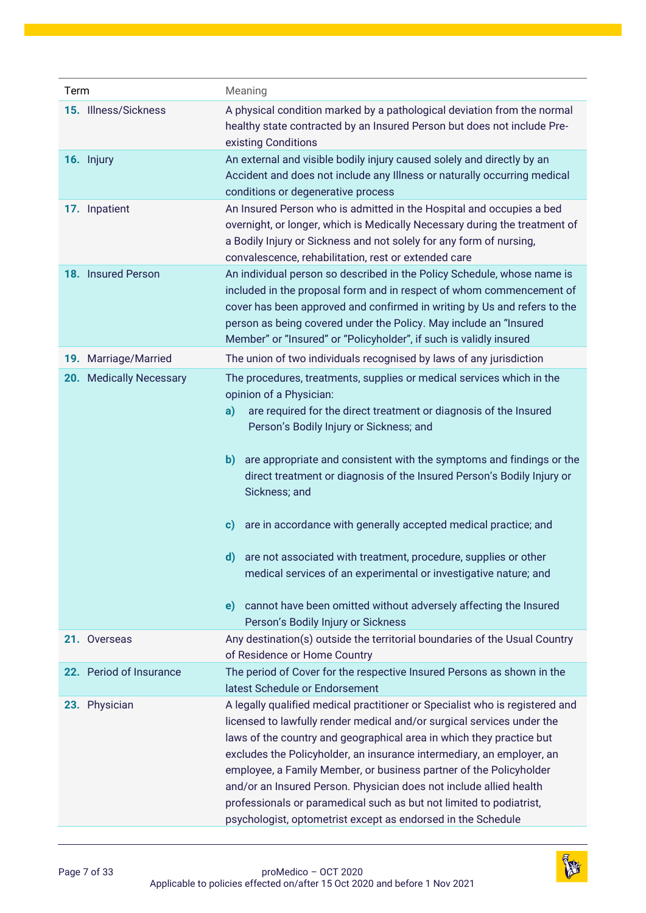| Term                    | Meaning                                                                                                                                                                                                                                                                                                                                                                                                                                                                                                                                                                                                                                                                                                                               |
|-------------------------|---------------------------------------------------------------------------------------------------------------------------------------------------------------------------------------------------------------------------------------------------------------------------------------------------------------------------------------------------------------------------------------------------------------------------------------------------------------------------------------------------------------------------------------------------------------------------------------------------------------------------------------------------------------------------------------------------------------------------------------|
| 15. Illness/Sickness    | A physical condition marked by a pathological deviation from the normal<br>healthy state contracted by an Insured Person but does not include Pre-<br>existing Conditions                                                                                                                                                                                                                                                                                                                                                                                                                                                                                                                                                             |
| 16. Injury              | An external and visible bodily injury caused solely and directly by an<br>Accident and does not include any Illness or naturally occurring medical<br>conditions or degenerative process                                                                                                                                                                                                                                                                                                                                                                                                                                                                                                                                              |
| 17. Inpatient           | An Insured Person who is admitted in the Hospital and occupies a bed<br>overnight, or longer, which is Medically Necessary during the treatment of<br>a Bodily Injury or Sickness and not solely for any form of nursing,<br>convalescence, rehabilitation, rest or extended care                                                                                                                                                                                                                                                                                                                                                                                                                                                     |
| 18. Insured Person      | An individual person so described in the Policy Schedule, whose name is<br>included in the proposal form and in respect of whom commencement of<br>cover has been approved and confirmed in writing by Us and refers to the<br>person as being covered under the Policy. May include an "Insured<br>Member" or "Insured" or "Policyholder", if such is validly insured                                                                                                                                                                                                                                                                                                                                                                |
| 19. Marriage/Married    | The union of two individuals recognised by laws of any jurisdiction                                                                                                                                                                                                                                                                                                                                                                                                                                                                                                                                                                                                                                                                   |
| 20. Medically Necessary | The procedures, treatments, supplies or medical services which in the<br>opinion of a Physician:<br>are required for the direct treatment or diagnosis of the Insured<br>a)<br>Person's Bodily Injury or Sickness; and<br>are appropriate and consistent with the symptoms and findings or the<br>b)<br>direct treatment or diagnosis of the Insured Person's Bodily Injury or<br>Sickness; and<br>are in accordance with generally accepted medical practice; and<br>c)<br>are not associated with treatment, procedure, supplies or other<br>d)<br>medical services of an experimental or investigative nature; and<br>cannot have been omitted without adversely affecting the Insured<br>e)<br>Person's Bodily Injury or Sickness |
| 21. Overseas            | Any destination(s) outside the territorial boundaries of the Usual Country<br>of Residence or Home Country                                                                                                                                                                                                                                                                                                                                                                                                                                                                                                                                                                                                                            |
| 22. Period of Insurance | The period of Cover for the respective Insured Persons as shown in the<br>latest Schedule or Endorsement                                                                                                                                                                                                                                                                                                                                                                                                                                                                                                                                                                                                                              |
| 23. Physician           | A legally qualified medical practitioner or Specialist who is registered and<br>licensed to lawfully render medical and/or surgical services under the<br>laws of the country and geographical area in which they practice but<br>excludes the Policyholder, an insurance intermediary, an employer, an<br>employee, a Family Member, or business partner of the Policyholder<br>and/or an Insured Person. Physician does not include allied health<br>professionals or paramedical such as but not limited to podiatrist,<br>psychologist, optometrist except as endorsed in the Schedule                                                                                                                                            |

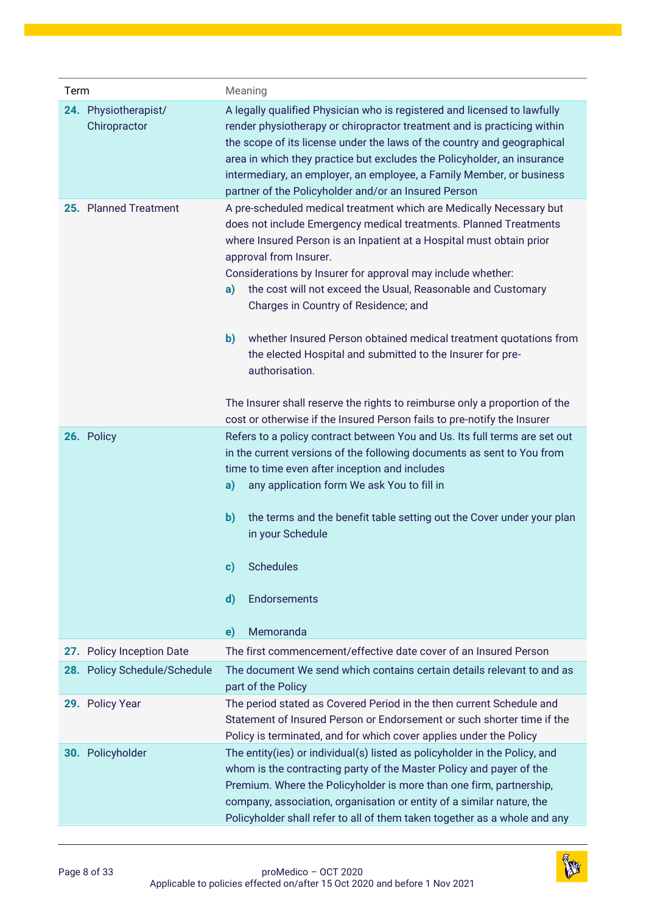| Term                                 | Meaning                                                                                                                                                                                                                                                                                                                                                                                                                                                                                                                                                                                                                                                                                                                                               |
|--------------------------------------|-------------------------------------------------------------------------------------------------------------------------------------------------------------------------------------------------------------------------------------------------------------------------------------------------------------------------------------------------------------------------------------------------------------------------------------------------------------------------------------------------------------------------------------------------------------------------------------------------------------------------------------------------------------------------------------------------------------------------------------------------------|
| 24. Physiotherapist/<br>Chiropractor | A legally qualified Physician who is registered and licensed to lawfully<br>render physiotherapy or chiropractor treatment and is practicing within<br>the scope of its license under the laws of the country and geographical<br>area in which they practice but excludes the Policyholder, an insurance<br>intermediary, an employer, an employee, a Family Member, or business<br>partner of the Policyholder and/or an Insured Person                                                                                                                                                                                                                                                                                                             |
| 25. Planned Treatment                | A pre-scheduled medical treatment which are Medically Necessary but<br>does not include Emergency medical treatments. Planned Treatments<br>where Insured Person is an Inpatient at a Hospital must obtain prior<br>approval from Insurer.<br>Considerations by Insurer for approval may include whether:<br>the cost will not exceed the Usual, Reasonable and Customary<br>a)<br>Charges in Country of Residence; and<br>whether Insured Person obtained medical treatment quotations from<br>$\mathbf{b}$<br>the elected Hospital and submitted to the Insurer for pre-<br>authorisation.<br>The Insurer shall reserve the rights to reimburse only a proportion of the<br>cost or otherwise if the Insured Person fails to pre-notify the Insurer |
| 26. Policy                           | Refers to a policy contract between You and Us. Its full terms are set out<br>in the current versions of the following documents as sent to You from<br>time to time even after inception and includes<br>any application form We ask You to fill in<br>a)<br>$\mathbf{b}$<br>the terms and the benefit table setting out the Cover under your plan<br>in your Schedule<br>$\mathbf{c}$ )<br>Schedules<br>$\mathbf{d}$<br>Endorsements<br>Memoranda<br>e)                                                                                                                                                                                                                                                                                             |
| 27. Policy Inception Date            | The first commencement/effective date cover of an Insured Person                                                                                                                                                                                                                                                                                                                                                                                                                                                                                                                                                                                                                                                                                      |
| 28. Policy Schedule/Schedule         | The document We send which contains certain details relevant to and as<br>part of the Policy                                                                                                                                                                                                                                                                                                                                                                                                                                                                                                                                                                                                                                                          |
| 29. Policy Year                      | The period stated as Covered Period in the then current Schedule and<br>Statement of Insured Person or Endorsement or such shorter time if the<br>Policy is terminated, and for which cover applies under the Policy                                                                                                                                                                                                                                                                                                                                                                                                                                                                                                                                  |
| 30. Policyholder                     | The entity(ies) or individual(s) listed as policyholder in the Policy, and<br>whom is the contracting party of the Master Policy and payer of the<br>Premium. Where the Policyholder is more than one firm, partnership,<br>company, association, organisation or entity of a similar nature, the<br>Policyholder shall refer to all of them taken together as a whole and any                                                                                                                                                                                                                                                                                                                                                                        |

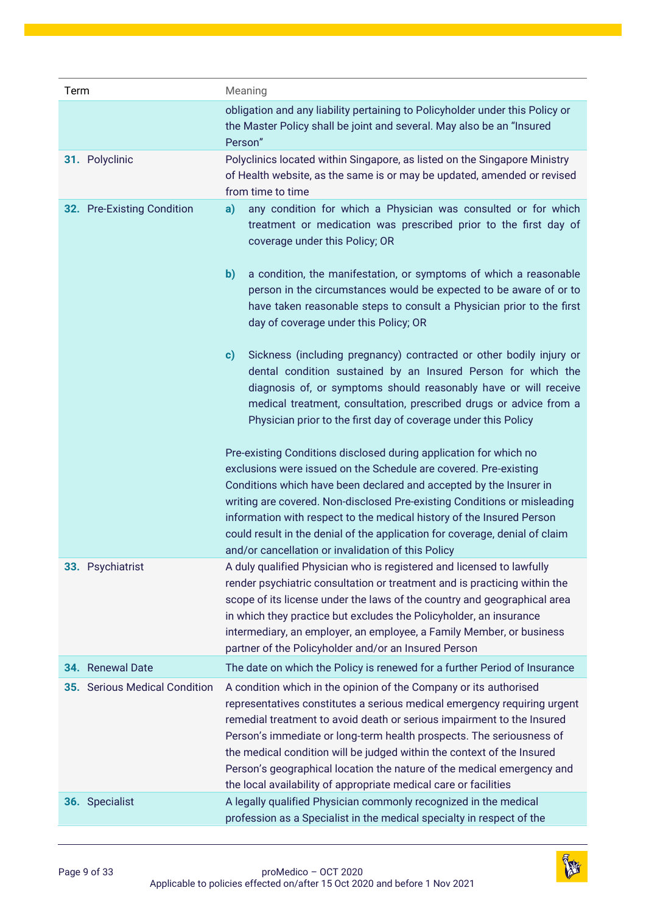| Term                          | Meaning                                                                                                                                                                                                                                                                                                                                                                                                                                                                                                                 |
|-------------------------------|-------------------------------------------------------------------------------------------------------------------------------------------------------------------------------------------------------------------------------------------------------------------------------------------------------------------------------------------------------------------------------------------------------------------------------------------------------------------------------------------------------------------------|
|                               | obligation and any liability pertaining to Policyholder under this Policy or<br>the Master Policy shall be joint and several. May also be an "Insured<br>Person"                                                                                                                                                                                                                                                                                                                                                        |
| 31. Polyclinic                | Polyclinics located within Singapore, as listed on the Singapore Ministry<br>of Health website, as the same is or may be updated, amended or revised<br>from time to time                                                                                                                                                                                                                                                                                                                                               |
| 32. Pre-Existing Condition    | any condition for which a Physician was consulted or for which<br>a)<br>treatment or medication was prescribed prior to the first day of<br>coverage under this Policy; OR                                                                                                                                                                                                                                                                                                                                              |
|                               | b)<br>a condition, the manifestation, or symptoms of which a reasonable<br>person in the circumstances would be expected to be aware of or to<br>have taken reasonable steps to consult a Physician prior to the first<br>day of coverage under this Policy; OR                                                                                                                                                                                                                                                         |
|                               | Sickness (including pregnancy) contracted or other bodily injury or<br>c)<br>dental condition sustained by an Insured Person for which the<br>diagnosis of, or symptoms should reasonably have or will receive<br>medical treatment, consultation, prescribed drugs or advice from a<br>Physician prior to the first day of coverage under this Policy                                                                                                                                                                  |
|                               | Pre-existing Conditions disclosed during application for which no<br>exclusions were issued on the Schedule are covered. Pre-existing<br>Conditions which have been declared and accepted by the Insurer in<br>writing are covered. Non-disclosed Pre-existing Conditions or misleading<br>information with respect to the medical history of the Insured Person<br>could result in the denial of the application for coverage, denial of claim<br>and/or cancellation or invalidation of this Policy                   |
| 33. Psychiatrist              | A duly qualified Physician who is registered and licensed to lawfully<br>render psychiatric consultation or treatment and is practicing within the<br>scope of its license under the laws of the country and geographical area<br>in which they practice but excludes the Policyholder, an insurance<br>intermediary, an employer, an employee, a Family Member, or business<br>partner of the Policyholder and/or an Insured Person                                                                                    |
| 34. Renewal Date              | The date on which the Policy is renewed for a further Period of Insurance                                                                                                                                                                                                                                                                                                                                                                                                                                               |
| 35. Serious Medical Condition | A condition which in the opinion of the Company or its authorised<br>representatives constitutes a serious medical emergency requiring urgent<br>remedial treatment to avoid death or serious impairment to the Insured<br>Person's immediate or long-term health prospects. The seriousness of<br>the medical condition will be judged within the context of the Insured<br>Person's geographical location the nature of the medical emergency and<br>the local availability of appropriate medical care or facilities |
| 36. Specialist                | A legally qualified Physician commonly recognized in the medical<br>profession as a Specialist in the medical specialty in respect of the                                                                                                                                                                                                                                                                                                                                                                               |

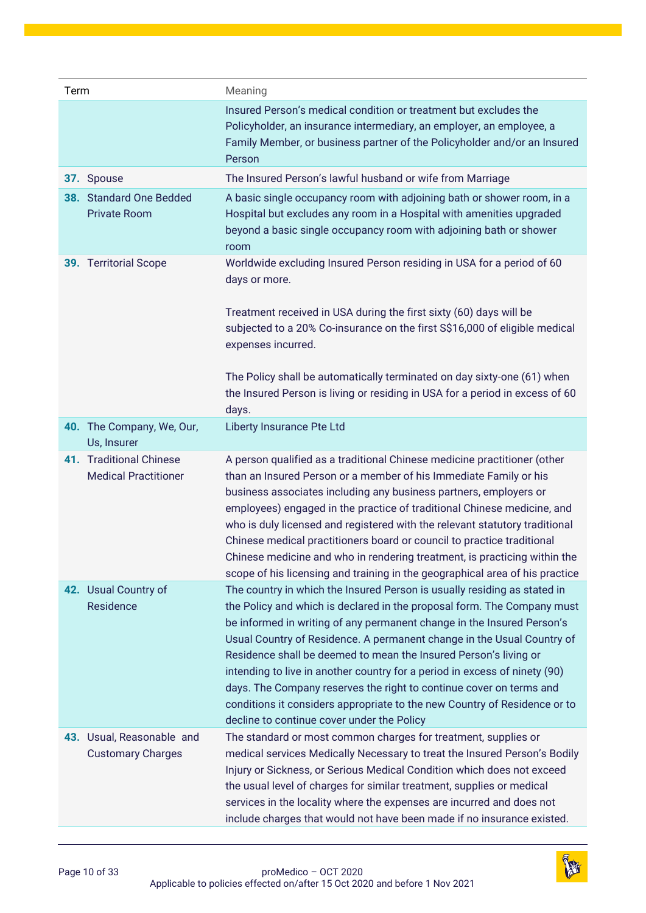| Term |                                                        | Meaning                                                                                                                                                                                                                                                                                                                                                                                                                                                                                                                                                                                                                                                     |
|------|--------------------------------------------------------|-------------------------------------------------------------------------------------------------------------------------------------------------------------------------------------------------------------------------------------------------------------------------------------------------------------------------------------------------------------------------------------------------------------------------------------------------------------------------------------------------------------------------------------------------------------------------------------------------------------------------------------------------------------|
|      |                                                        | Insured Person's medical condition or treatment but excludes the<br>Policyholder, an insurance intermediary, an employer, an employee, a<br>Family Member, or business partner of the Policyholder and/or an Insured<br>Person                                                                                                                                                                                                                                                                                                                                                                                                                              |
|      | 37. Spouse                                             | The Insured Person's lawful husband or wife from Marriage                                                                                                                                                                                                                                                                                                                                                                                                                                                                                                                                                                                                   |
|      | 38. Standard One Bedded<br><b>Private Room</b>         | A basic single occupancy room with adjoining bath or shower room, in a<br>Hospital but excludes any room in a Hospital with amenities upgraded<br>beyond a basic single occupancy room with adjoining bath or shower<br>room                                                                                                                                                                                                                                                                                                                                                                                                                                |
|      | 39. Territorial Scope                                  | Worldwide excluding Insured Person residing in USA for a period of 60<br>days or more.<br>Treatment received in USA during the first sixty (60) days will be<br>subjected to a 20% Co-insurance on the first S\$16,000 of eligible medical<br>expenses incurred.<br>The Policy shall be automatically terminated on day sixty-one (61) when<br>the Insured Person is living or residing in USA for a period in excess of 60<br>days.                                                                                                                                                                                                                        |
|      | 40. The Company, We, Our,<br>Us, Insurer               | Liberty Insurance Pte Ltd                                                                                                                                                                                                                                                                                                                                                                                                                                                                                                                                                                                                                                   |
|      | 41. Traditional Chinese<br><b>Medical Practitioner</b> | A person qualified as a traditional Chinese medicine practitioner (other<br>than an Insured Person or a member of his Immediate Family or his<br>business associates including any business partners, employers or<br>employees) engaged in the practice of traditional Chinese medicine, and<br>who is duly licensed and registered with the relevant statutory traditional<br>Chinese medical practitioners board or council to practice traditional<br>Chinese medicine and who in rendering treatment, is practicing within the<br>scope of his licensing and training in the geographical area of his practice                                         |
|      | 42. Usual Country of<br>Residence                      | The country in which the Insured Person is usually residing as stated in<br>the Policy and which is declared in the proposal form. The Company must<br>be informed in writing of any permanent change in the Insured Person's<br>Usual Country of Residence. A permanent change in the Usual Country of<br>Residence shall be deemed to mean the Insured Person's living or<br>intending to live in another country for a period in excess of ninety (90)<br>days. The Company reserves the right to continue cover on terms and<br>conditions it considers appropriate to the new Country of Residence or to<br>decline to continue cover under the Policy |
|      | 43. Usual, Reasonable and<br><b>Customary Charges</b>  | The standard or most common charges for treatment, supplies or<br>medical services Medically Necessary to treat the Insured Person's Bodily<br>Injury or Sickness, or Serious Medical Condition which does not exceed<br>the usual level of charges for similar treatment, supplies or medical<br>services in the locality where the expenses are incurred and does not<br>include charges that would not have been made if no insurance existed.                                                                                                                                                                                                           |

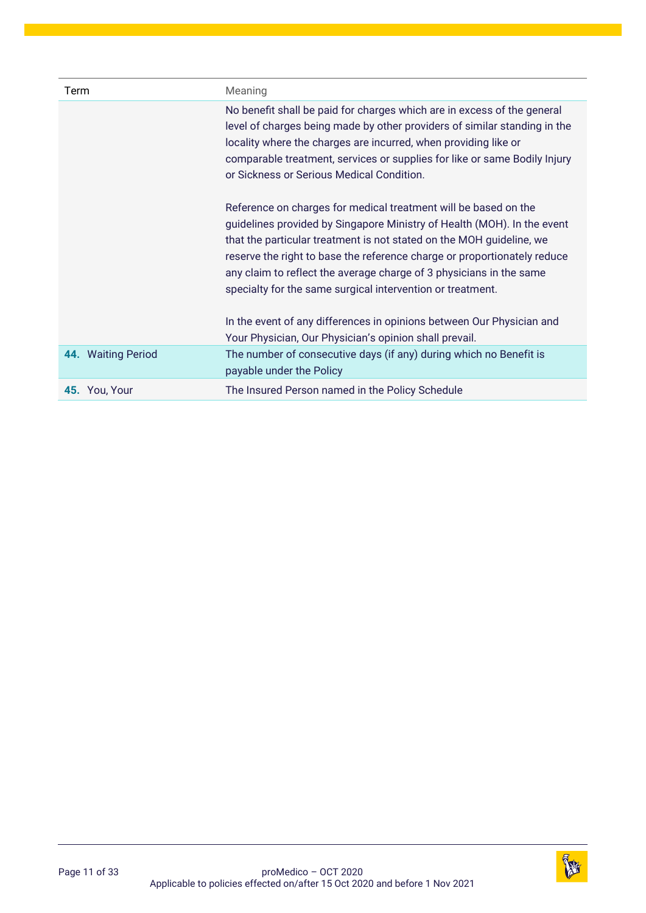| Term               | Meaning                                                                                                                                                                                                                                                                                                                                                                                                                             |
|--------------------|-------------------------------------------------------------------------------------------------------------------------------------------------------------------------------------------------------------------------------------------------------------------------------------------------------------------------------------------------------------------------------------------------------------------------------------|
|                    | No benefit shall be paid for charges which are in excess of the general<br>level of charges being made by other providers of similar standing in the<br>locality where the charges are incurred, when providing like or<br>comparable treatment, services or supplies for like or same Bodily Injury<br>or Sickness or Serious Medical Condition.                                                                                   |
|                    | Reference on charges for medical treatment will be based on the<br>guidelines provided by Singapore Ministry of Health (MOH). In the event<br>that the particular treatment is not stated on the MOH guideline, we<br>reserve the right to base the reference charge or proportionately reduce<br>any claim to reflect the average charge of 3 physicians in the same<br>specialty for the same surgical intervention or treatment. |
|                    | In the event of any differences in opinions between Our Physician and<br>Your Physician, Our Physician's opinion shall prevail.                                                                                                                                                                                                                                                                                                     |
| 44. Waiting Period | The number of consecutive days (if any) during which no Benefit is<br>payable under the Policy                                                                                                                                                                                                                                                                                                                                      |
| 45. You, Your      | The Insured Person named in the Policy Schedule                                                                                                                                                                                                                                                                                                                                                                                     |

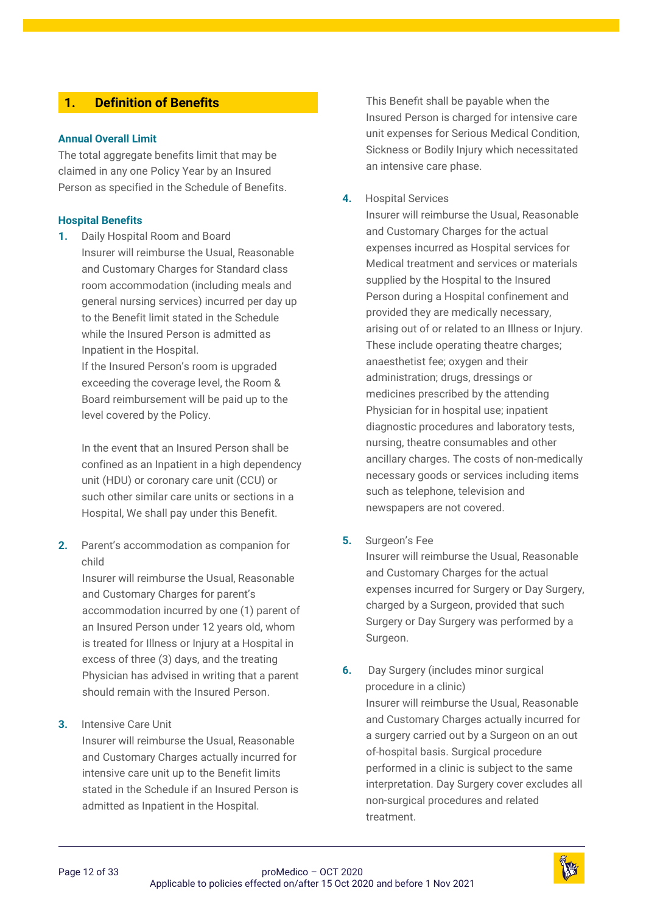# <span id="page-11-0"></span>**1. [Definition of Benefits](#page-1-3)**

#### **Annual Overall Limit**

The total aggregate benefits limit that may be claimed in any one Policy Year by an Insured Person as specified in the Schedule of Benefits.

#### **Hospital Benefits**

**1.** Daily Hospital Room and Board Insurer will reimburse the Usual, Reasonable and Customary Charges for Standard class room accommodation (including meals and general nursing services) incurred per day up to the Benefit limit stated in the Schedule while the Insured Person is admitted as Inpatient in the Hospital.

If the Insured Person's room is upgraded exceeding the coverage level, the Room & Board reimbursement will be paid up to the level covered by the Policy.

In the event that an Insured Person shall be confined as an Inpatient in a high dependency unit (HDU) or coronary care unit (CCU) or such other similar care units or sections in a Hospital, We shall pay under this Benefit.

**2.** Parent's accommodation as companion for child

> Insurer will reimburse the Usual, Reasonable and Customary Charges for parent's accommodation incurred by one (1) parent of an Insured Person under 12 years old, whom is treated for Illness or Injury at a Hospital in excess of three (3) days, and the treating Physician has advised in writing that a parent should remain with the Insured Person.

#### **3.** Intensive Care Unit

Insurer will reimburse the Usual, Reasonable and Customary Charges actually incurred for intensive care unit up to the Benefit limits stated in the Schedule if an Insured Person is admitted as Inpatient in the Hospital.

This Benefit shall be payable when the Insured Person is charged for intensive care unit expenses for Serious Medical Condition, Sickness or Bodily Injury which necessitated an intensive care phase.

#### **4.** Hospital Services

Insurer will reimburse the Usual, Reasonable and Customary Charges for the actual expenses incurred as Hospital services for Medical treatment and services or materials supplied by the Hospital to the Insured Person during a Hospital confinement and provided they are medically necessary, arising out of or related to an Illness or Injury. These include operating theatre charges; anaesthetist fee; oxygen and their administration; drugs, dressings or medicines prescribed by the attending Physician for in hospital use; inpatient diagnostic procedures and laboratory tests, nursing, theatre consumables and other ancillary charges. The costs of non-medically necessary goods or services including items such as telephone, television and newspapers are not covered.

#### **5.** Surgeon's Fee

Insurer will reimburse the Usual, Reasonable and Customary Charges for the actual expenses incurred for Surgery or Day Surgery, charged by a Surgeon, provided that such Surgery or Day Surgery was performed by a Surgeon.

**6.** Day Surgery (includes minor surgical procedure in a clinic) Insurer will reimburse the Usual, Reasonable and Customary Charges actually incurred for a surgery carried out by a Surgeon on an out of-hospital basis. Surgical procedure performed in a clinic is subject to the same interpretation. Day Surgery cover excludes all non-surgical procedures and related treatment.

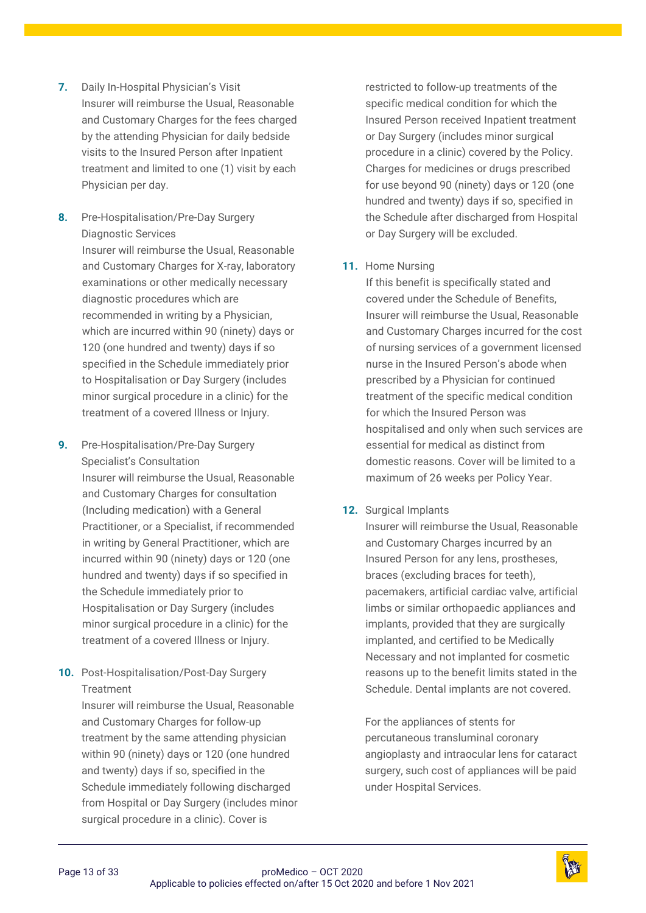- **7.** Daily In-Hospital Physician's Visit Insurer will reimburse the Usual, Reasonable and Customary Charges for the fees charged by the attending Physician for daily bedside visits to the Insured Person after Inpatient treatment and limited to one (1) visit by each Physician per day.
- **8.** Pre-Hospitalisation/Pre-Day Surgery Diagnostic Services Insurer will reimburse the Usual, Reasonable and Customary Charges for X-ray, laboratory examinations or other medically necessary diagnostic procedures which are recommended in writing by a Physician, which are incurred within 90 (ninety) days or 120 (one hundred and twenty) days if so specified in the Schedule immediately prior to Hospitalisation or Day Surgery (includes minor surgical procedure in a clinic) for the treatment of a covered Illness or Injury.
- **9.** Pre-Hospitalisation/Pre-Day Surgery Specialist's Consultation Insurer will reimburse the Usual, Reasonable and Customary Charges for consultation (Including medication) with a General Practitioner, or a Specialist, if recommended in writing by General Practitioner, which are incurred within 90 (ninety) days or 120 (one hundred and twenty) days if so specified in the Schedule immediately prior to Hospitalisation or Day Surgery (includes minor surgical procedure in a clinic) for the treatment of a covered Illness or Injury.
- **10.** Post-Hospitalisation/Post-Day Surgery Treatment

Insurer will reimburse the Usual, Reasonable and Customary Charges for follow-up treatment by the same attending physician within 90 (ninety) days or 120 (one hundred and twenty) days if so, specified in the Schedule immediately following discharged from Hospital or Day Surgery (includes minor surgical procedure in a clinic). Cover is

restricted to follow-up treatments of the specific medical condition for which the Insured Person received Inpatient treatment or Day Surgery (includes minor surgical procedure in a clinic) covered by the Policy. Charges for medicines or drugs prescribed for use beyond 90 (ninety) days or 120 (one hundred and twenty) days if so, specified in the Schedule after discharged from Hospital or Day Surgery will be excluded.

# **11.** Home Nursing

If this benefit is specifically stated and covered under the Schedule of Benefits, Insurer will reimburse the Usual, Reasonable and Customary Charges incurred for the cost of nursing services of a government licensed nurse in the Insured Person's abode when prescribed by a Physician for continued treatment of the specific medical condition for which the Insured Person was hospitalised and only when such services are essential for medical as distinct from domestic reasons. Cover will be limited to a maximum of 26 weeks per Policy Year.

# **12.** Surgical Implants

Insurer will reimburse the Usual, Reasonable and Customary Charges incurred by an Insured Person for any lens, prostheses, braces (excluding braces for teeth), pacemakers, artificial cardiac valve, artificial limbs or similar orthopaedic appliances and implants, provided that they are surgically implanted, and certified to be Medically Necessary and not implanted for cosmetic reasons up to the benefit limits stated in the Schedule. Dental implants are not covered.

For the appliances of stents for percutaneous transluminal coronary angioplasty and intraocular lens for cataract surgery, such cost of appliances will be paid under Hospital Services.

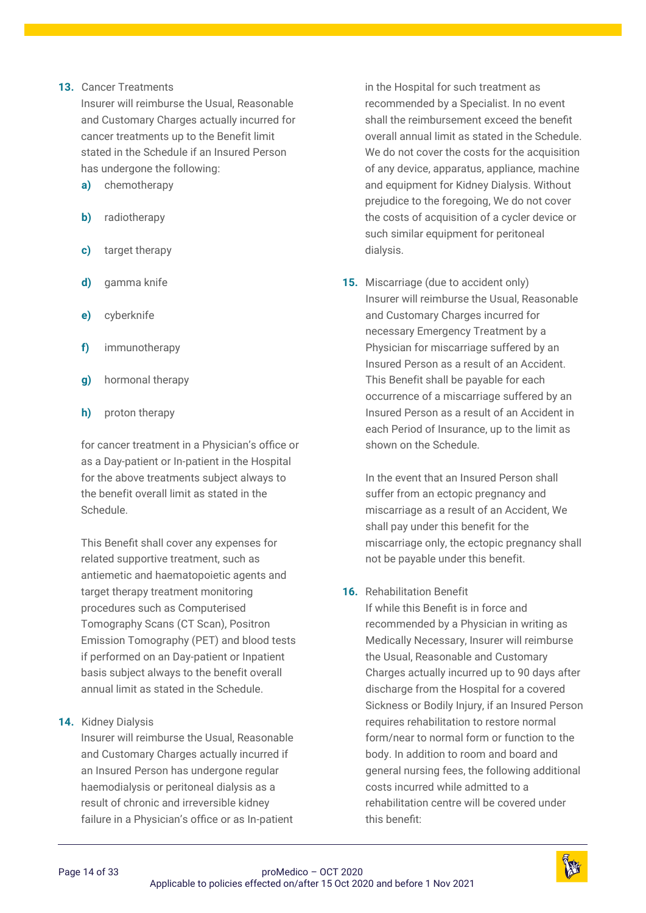#### **13.** Cancer Treatments

Insurer will reimburse the Usual, Reasonable and Customary Charges actually incurred for cancer treatments up to the Benefit limit stated in the Schedule if an Insured Person has undergone the following:

- **a)** chemotherapy
- **b)** radiotherapy
- **c)** target therapy
- **d)** gamma knife
- **e)** cyberknife
- **f)** immunotherapy
- **g)** hormonal therapy
- **h)** proton therapy

for cancer treatment in a Physician's office or as a Day-patient or In-patient in the Hospital for the above treatments subject always to the benefit overall limit as stated in the Schedule.

This Benefit shall cover any expenses for related supportive treatment, such as antiemetic and haematopoietic agents and target therapy treatment monitoring procedures such as Computerised Tomography Scans (CT Scan), Positron Emission Tomography (PET) and blood tests if performed on an Day-patient or Inpatient basis subject always to the benefit overall annual limit as stated in the Schedule.

**14.** Kidney Dialysis

Insurer will reimburse the Usual, Reasonable and Customary Charges actually incurred if an Insured Person has undergone regular haemodialysis or peritoneal dialysis as a result of chronic and irreversible kidney failure in a Physician's office or as In-patient

in the Hospital for such treatment as recommended by a Specialist. In no event shall the reimbursement exceed the benefit overall annual limit as stated in the Schedule. We do not cover the costs for the acquisition of any device, apparatus, appliance, machine and equipment for Kidney Dialysis. Without prejudice to the foregoing, We do not cover the costs of acquisition of a cycler device or such similar equipment for peritoneal dialysis.

**15.** Miscarriage (due to accident only) Insurer will reimburse the Usual, Reasonable and Customary Charges incurred for necessary Emergency Treatment by a Physician for miscarriage suffered by an Insured Person as a result of an Accident. This Benefit shall be payable for each occurrence of a miscarriage suffered by an Insured Person as a result of an Accident in each Period of Insurance, up to the limit as shown on the Schedule.

In the event that an Insured Person shall suffer from an ectopic pregnancy and miscarriage as a result of an Accident, We shall pay under this benefit for the miscarriage only, the ectopic pregnancy shall not be payable under this benefit.

**16.** Rehabilitation Benefit

If while this Benefit is in force and recommended by a Physician in writing as Medically Necessary, Insurer will reimburse the Usual, Reasonable and Customary Charges actually incurred up to 90 days after discharge from the Hospital for a covered Sickness or Bodily Injury, if an Insured Person requires rehabilitation to restore normal form/near to normal form or function to the body. In addition to room and board and general nursing fees, the following additional costs incurred while admitted to a rehabilitation centre will be covered under this benefit:

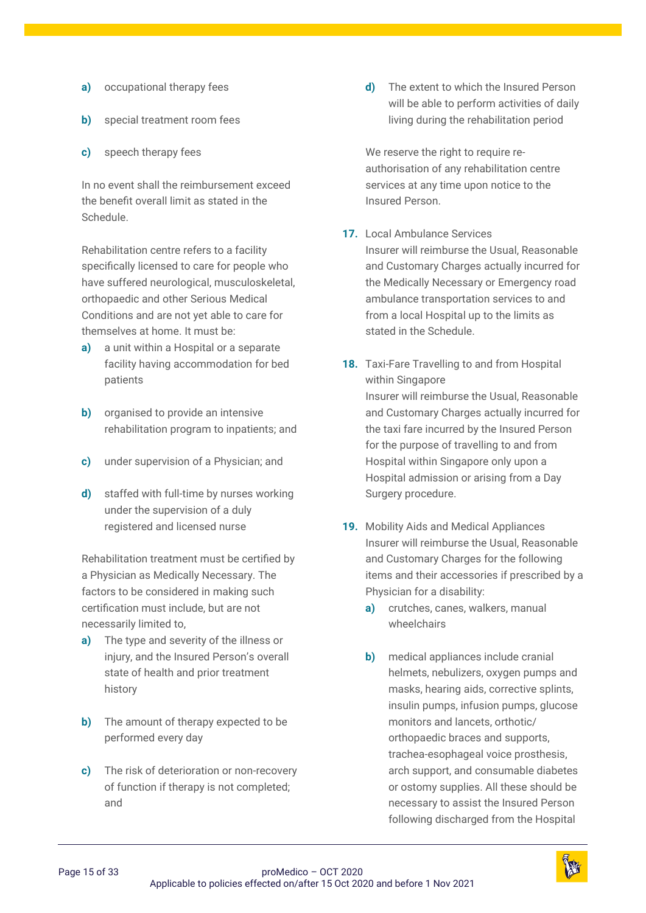- **a)** occupational therapy fees
- **b)** special treatment room fees
- **c)** speech therapy fees

In no event shall the reimbursement exceed the benefit overall limit as stated in the Schedule.

Rehabilitation centre refers to a facility specifically licensed to care for people who have suffered neurological, musculoskeletal, orthopaedic and other Serious Medical Conditions and are not yet able to care for themselves at home. It must be:

- **a)** a unit within a Hospital or a separate facility having accommodation for bed patients
- **b)** organised to provide an intensive rehabilitation program to inpatients; and
- **c)** under supervision of a Physician; and
- **d)** staffed with full-time by nurses working under the supervision of a duly registered and licensed nurse

Rehabilitation treatment must be certified by a Physician as Medically Necessary. The factors to be considered in making such certification must include, but are not necessarily limited to,

- **a)** The type and severity of the illness or injury, and the Insured Person's overall state of health and prior treatment history
- **b)** The amount of therapy expected to be performed every day
- **c)** The risk of deterioration or non-recovery of function if therapy is not completed; and

**d)** The extent to which the Insured Person will be able to perform activities of daily living during the rehabilitation period

We reserve the right to require reauthorisation of any rehabilitation centre services at any time upon notice to the Insured Person.

- **17.** Local Ambulance Services Insurer will reimburse the Usual, Reasonable and Customary Charges actually incurred for the Medically Necessary or Emergency road ambulance transportation services to and from a local Hospital up to the limits as stated in the Schedule.
- **18.** Taxi-Fare Travelling to and from Hospital within Singapore Insurer will reimburse the Usual, Reasonable and Customary Charges actually incurred for the taxi fare incurred by the Insured Person for the purpose of travelling to and from Hospital within Singapore only upon a Hospital admission or arising from a Day Surgery procedure.
- **19.** Mobility Aids and Medical Appliances Insurer will reimburse the Usual, Reasonable and Customary Charges for the following items and their accessories if prescribed by a Physician for a disability:
	- **a)** crutches, canes, walkers, manual wheelchairs
	- **b)** medical appliances include cranial helmets, nebulizers, oxygen pumps and masks, hearing aids, corrective splints, insulin pumps, infusion pumps, glucose monitors and lancets, orthotic/ orthopaedic braces and supports, trachea-esophageal voice prosthesis, arch support, and consumable diabetes or ostomy supplies. All these should be necessary to assist the Insured Person following discharged from the Hospital

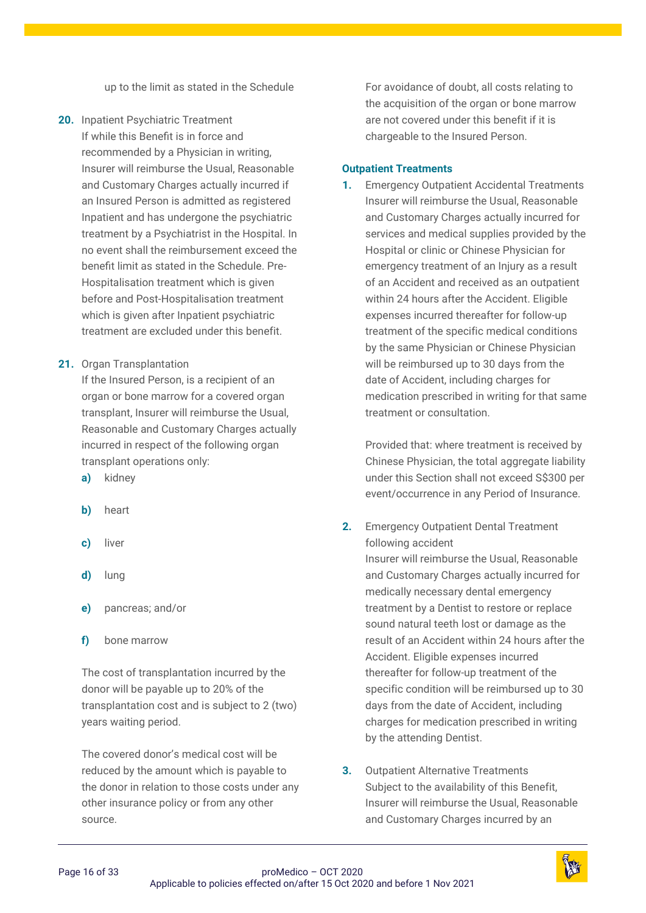up to the limit as stated in the Schedule

- **20.** Inpatient Psychiatric Treatment If while this Benefit is in force and recommended by a Physician in writing, Insurer will reimburse the Usual, Reasonable and Customary Charges actually incurred if an Insured Person is admitted as registered Inpatient and has undergone the psychiatric treatment by a Psychiatrist in the Hospital. In no event shall the reimbursement exceed the benefit limit as stated in the Schedule. Pre-Hospitalisation treatment which is given before and Post-Hospitalisation treatment which is given after Inpatient psychiatric treatment are excluded under this benefit.
- **21.** Organ Transplantation

If the Insured Person, is a recipient of an organ or bone marrow for a covered organ transplant, Insurer will reimburse the Usual, Reasonable and Customary Charges actually incurred in respect of the following organ transplant operations only:

- **a)** kidney
- **b)** heart
- **c)** liver
- **d)** lung
- **e)** pancreas; and/or
- **f)** bone marrow

The cost of transplantation incurred by the donor will be payable up to 20% of the transplantation cost and is subject to 2 (two) years waiting period.

The covered donor's medical cost will be reduced by the amount which is payable to the donor in relation to those costs under any other insurance policy or from any other source.

For avoidance of doubt, all costs relating to the acquisition of the organ or bone marrow are not covered under this benefit if it is chargeable to the Insured Person.

#### **Outpatient Treatments**

**1.** Emergency Outpatient Accidental Treatments Insurer will reimburse the Usual, Reasonable and Customary Charges actually incurred for services and medical supplies provided by the Hospital or clinic or Chinese Physician for emergency treatment of an Injury as a result of an Accident and received as an outpatient within 24 hours after the Accident. Eligible expenses incurred thereafter for follow-up treatment of the specific medical conditions by the same Physician or Chinese Physician will be reimbursed up to 30 days from the date of Accident, including charges for medication prescribed in writing for that same treatment or consultation.

Provided that: where treatment is received by Chinese Physician, the total aggregate liability under this Section shall not exceed S\$300 per event/occurrence in any Period of Insurance.

**2.** Emergency Outpatient Dental Treatment following accident

Insurer will reimburse the Usual, Reasonable and Customary Charges actually incurred for medically necessary dental emergency treatment by a Dentist to restore or replace sound natural teeth lost or damage as the result of an Accident within 24 hours after the Accident. Eligible expenses incurred thereafter for follow-up treatment of the specific condition will be reimbursed up to 30 days from the date of Accident, including charges for medication prescribed in writing by the attending Dentist.

**3.** Outpatient Alternative Treatments Subject to the availability of this Benefit, Insurer will reimburse the Usual, Reasonable and Customary Charges incurred by an

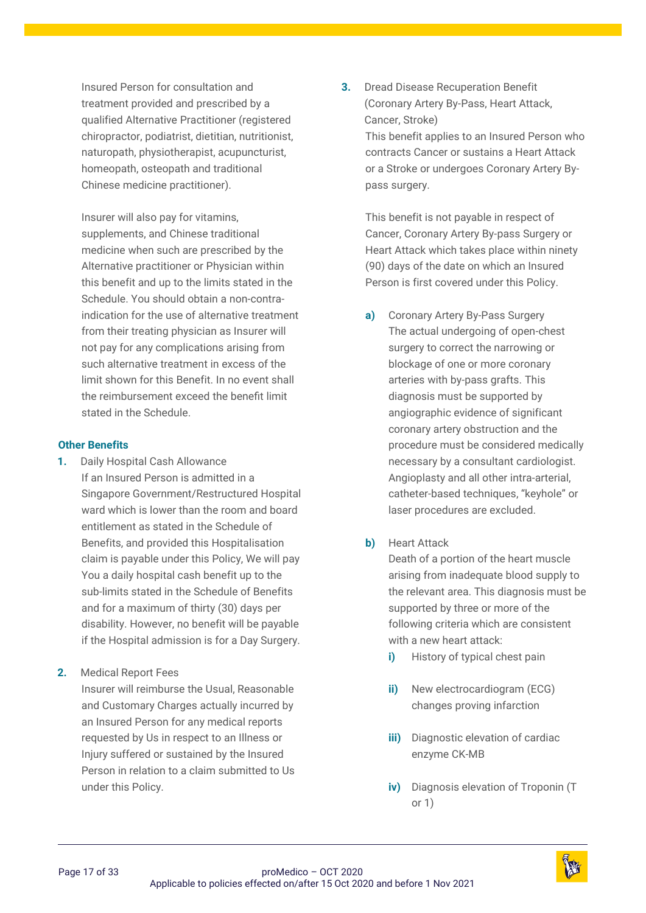Insured Person for consultation and treatment provided and prescribed by a qualified Alternative Practitioner (registered chiropractor, podiatrist, dietitian, nutritionist, naturopath, physiotherapist, acupuncturist, homeopath, osteopath and traditional Chinese medicine practitioner).

Insurer will also pay for vitamins, supplements, and Chinese traditional medicine when such are prescribed by the Alternative practitioner or Physician within this benefit and up to the limits stated in the Schedule. You should obtain a non-contraindication for the use of alternative treatment from their treating physician as Insurer will not pay for any complications arising from such alternative treatment in excess of the limit shown for this Benefit. In no event shall the reimbursement exceed the benefit limit stated in the Schedule.

#### **Other Benefits**

**1.** Daily Hospital Cash Allowance If an Insured Person is admitted in a Singapore Government/Restructured Hospital ward which is lower than the room and board entitlement as stated in the Schedule of Benefits, and provided this Hospitalisation claim is payable under this Policy, We will pay You a daily hospital cash benefit up to the sub-limits stated in the Schedule of Benefits and for a maximum of thirty (30) days per disability. However, no benefit will be payable if the Hospital admission is for a Day Surgery.

**2.** Medical Report Fees Insurer will reimburse the Usual, Reasonable and Customary Charges actually incurred by an Insured Person for any medical reports requested by Us in respect to an Illness or Injury suffered or sustained by the Insured Person in relation to a claim submitted to Us under this Policy.

**3.** Dread Disease Recuperation Benefit (Coronary Artery By-Pass, Heart Attack, Cancer, Stroke) This benefit applies to an Insured Person who

contracts Cancer or sustains a Heart Attack or a Stroke or undergoes Coronary Artery Bypass surgery.

This benefit is not payable in respect of Cancer, Coronary Artery By-pass Surgery or Heart Attack which takes place within ninety (90) days of the date on which an Insured Person is first covered under this Policy.

**a)** Coronary Artery By-Pass Surgery The actual undergoing of open-chest surgery to correct the narrowing or blockage of one or more coronary arteries with by-pass grafts. This diagnosis must be supported by angiographic evidence of significant coronary artery obstruction and the procedure must be considered medically necessary by a consultant cardiologist. Angioplasty and all other intra-arterial, catheter-based techniques, "keyhole" or laser procedures are excluded.

# **b)** Heart Attack

Death of a portion of the heart muscle arising from inadequate blood supply to the relevant area. This diagnosis must be supported by three or more of the following criteria which are consistent with a new heart attack:

- **i)** History of typical chest pain
- **ii)** New electrocardiogram (ECG) changes proving infarction
- **iii)** Diagnostic elevation of cardiac enzyme CK-MB
- **iv)** Diagnosis elevation of Troponin (T or 1)

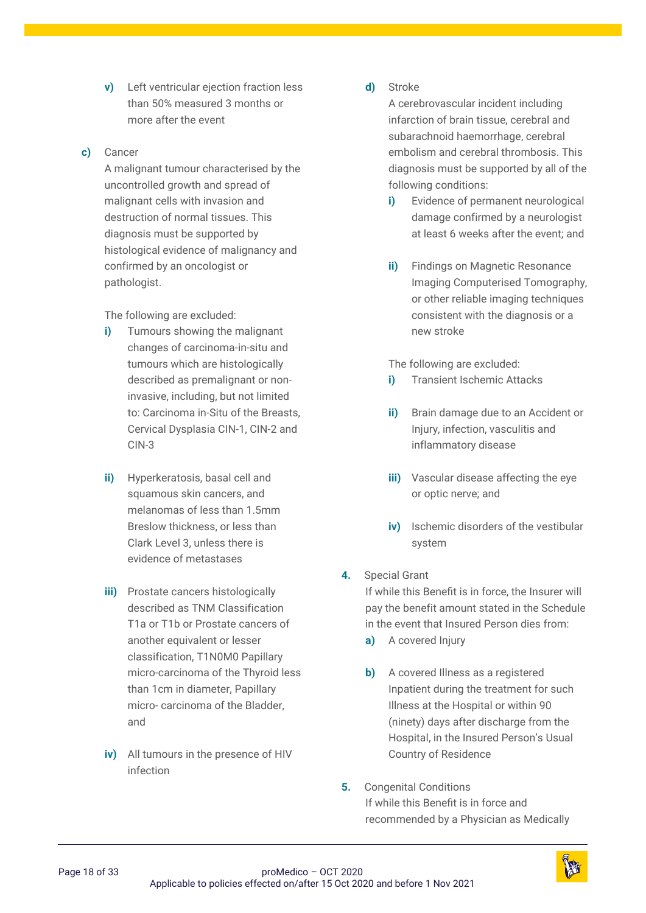**v)** Left ventricular ejection fraction less than 50% measured 3 months or more after the event

#### **c)** Cancer

A malignant tumour characterised by the uncontrolled growth and spread of malignant cells with invasion and destruction of normal tissues. This diagnosis must be supported by histological evidence of malignancy and confirmed by an oncologist or pathologist.

The following are excluded:

- **i)** Tumours showing the malignant changes of carcinoma-in-situ and tumours which are histologically described as premalignant or noninvasive, including, but not limited to: Carcinoma in-Situ of the Breasts, Cervical Dysplasia CIN-1, CIN-2 and CIN-3
- **ii)** Hyperkeratosis, basal cell and squamous skin cancers, and melanomas of less than 1.5mm Breslow thickness, or less than Clark Level 3, unless there is evidence of metastases
- **iii)** Prostate cancers histologically described as TNM Classification T1a or T1b or Prostate cancers of another equivalent or lesser classification, T1N0M0 Papillary micro-carcinoma of the Thyroid less than 1cm in diameter, Papillary micro- carcinoma of the Bladder, and
- **iv)** All tumours in the presence of HIV infection

#### **d)** Stroke

A cerebrovascular incident including infarction of brain tissue, cerebral and subarachnoid haemorrhage, cerebral embolism and cerebral thrombosis. This diagnosis must be supported by all of the following conditions:

- **i)** Evidence of permanent neurological damage confirmed by a neurologist at least 6 weeks after the event; and
- **ii)** Findings on Magnetic Resonance Imaging Computerised Tomography, or other reliable imaging techniques consistent with the diagnosis or a new stroke

The following are excluded:

- **i)** Transient Ischemic Attacks
- **ii)** Brain damage due to an Accident or Injury, infection, vasculitis and inflammatory disease
- **iii)** Vascular disease affecting the eye or optic nerve; and
- **iv)** Ischemic disorders of the vestibular system

# **4.** Special Grant

If while this Benefit is in force, the Insurer will pay the benefit amount stated in the Schedule in the event that Insured Person dies from:

- **a)** A covered Injury
- **b)** A covered Illness as a registered Inpatient during the treatment for such Illness at the Hospital or within 90 (ninety) days after discharge from the Hospital, in the Insured Person's Usual Country of Residence
- **5.** Congenital Conditions If while this Benefit is in force and recommended by a Physician as Medically

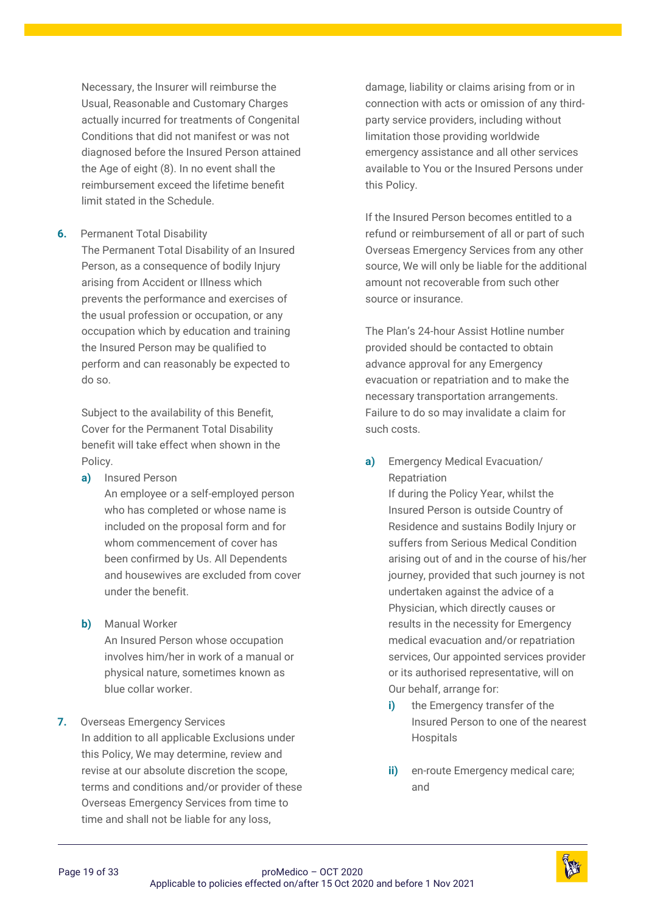Necessary, the Insurer will reimburse the Usual, Reasonable and Customary Charges actually incurred for treatments of Congenital Conditions that did not manifest or was not diagnosed before the Insured Person attained the Age of eight (8). In no event shall the reimbursement exceed the lifetime benefit limit stated in the Schedule.

**6.** Permanent Total Disability

The Permanent Total Disability of an Insured Person, as a consequence of bodily Injury arising from Accident or Illness which prevents the performance and exercises of the usual profession or occupation, or any occupation which by education and training the Insured Person may be qualified to perform and can reasonably be expected to do so.

Subject to the availability of this Benefit, Cover for the Permanent Total Disability benefit will take effect when shown in the Policy.

- **a)** Insured Person An employee or a self-employed person who has completed or whose name is included on the proposal form and for whom commencement of cover has been confirmed by Us. All Dependents and housewives are excluded from cover under the benefit.
- **b)** Manual Worker

An Insured Person whose occupation involves him/her in work of a manual or physical nature, sometimes known as blue collar worker.

# **7.** Overseas Emergency Services In addition to all applicable Exclusions under this Policy, We may determine, review and revise at our absolute discretion the scope, terms and conditions and/or provider of these Overseas Emergency Services from time to time and shall not be liable for any loss,

damage, liability or claims arising from or in connection with acts or omission of any thirdparty service providers, including without limitation those providing worldwide emergency assistance and all other services available to You or the Insured Persons under this Policy.

If the Insured Person becomes entitled to a refund or reimbursement of all or part of such Overseas Emergency Services from any other source, We will only be liable for the additional amount not recoverable from such other source or insurance.

The Plan's 24-hour Assist Hotline number provided should be contacted to obtain advance approval for any Emergency evacuation or repatriation and to make the necessary transportation arrangements. Failure to do so may invalidate a claim for such costs.

**a)** Emergency Medical Evacuation/ Repatriation

If during the Policy Year, whilst the Insured Person is outside Country of Residence and sustains Bodily Injury or suffers from Serious Medical Condition arising out of and in the course of his/her journey, provided that such journey is not undertaken against the advice of a Physician, which directly causes or results in the necessity for Emergency medical evacuation and/or repatriation services, Our appointed services provider or its authorised representative, will on Our behalf, arrange for:

- **i)** the Emergency transfer of the Insured Person to one of the nearest Hospitals
- **ii)** en-route Emergency medical care; and

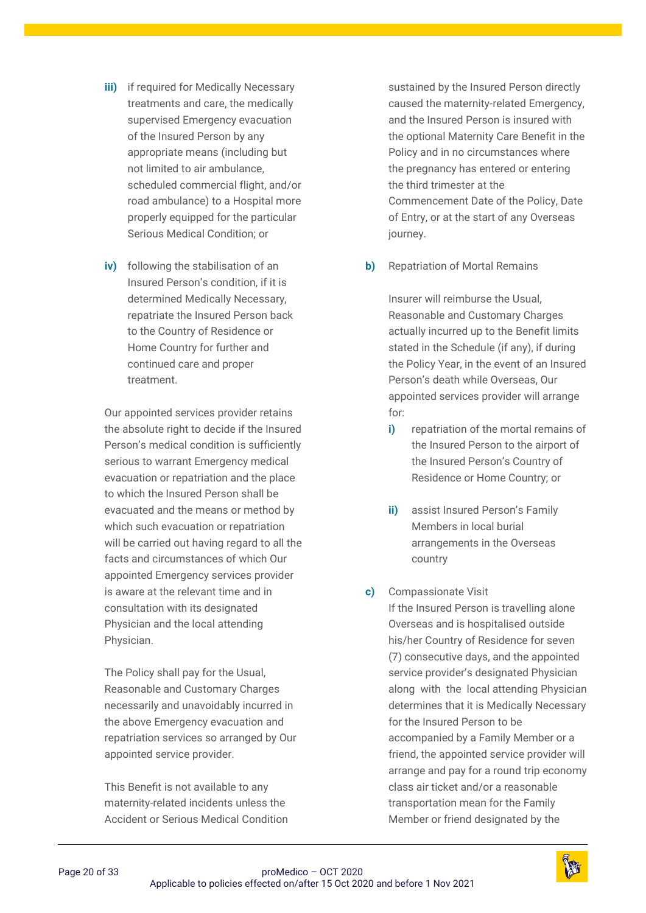- **iii)** if required for Medically Necessary treatments and care, the medically supervised Emergency evacuation of the Insured Person by any appropriate means (including but not limited to air ambulance, scheduled commercial flight, and/or road ambulance) to a Hospital more properly equipped for the particular Serious Medical Condition; or
- **iv)** following the stabilisation of an Insured Person's condition, if it is determined Medically Necessary, repatriate the Insured Person back to the Country of Residence or Home Country for further and continued care and proper treatment.

Our appointed services provider retains the absolute right to decide if the Insured Person's medical condition is sufficiently serious to warrant Emergency medical evacuation or repatriation and the place to which the Insured Person shall be evacuated and the means or method by which such evacuation or repatriation will be carried out having regard to all the facts and circumstances of which Our appointed Emergency services provider is aware at the relevant time and in consultation with its designated Physician and the local attending Physician.

The Policy shall pay for the Usual, Reasonable and Customary Charges necessarily and unavoidably incurred in the above Emergency evacuation and repatriation services so arranged by Our appointed service provider.

This Benefit is not available to any maternity-related incidents unless the Accident or Serious Medical Condition

sustained by the Insured Person directly caused the maternity-related Emergency, and the Insured Person is insured with the optional Maternity Care Benefit in the Policy and in no circumstances where the pregnancy has entered or entering the third trimester at the Commencement Date of the Policy, Date of Entry, or at the start of any Overseas journey.

**b)** Repatriation of Mortal Remains

Insurer will reimburse the Usual, Reasonable and Customary Charges actually incurred up to the Benefit limits stated in the Schedule (if any), if during the Policy Year, in the event of an Insured Person's death while Overseas, Our appointed services provider will arrange for:

- **i)** repatriation of the mortal remains of the Insured Person to the airport of the Insured Person's Country of Residence or Home Country; or
- **ii)** assist Insured Person's Family Members in local burial arrangements in the Overseas country
- **c)** Compassionate Visit If the Insured Person is travelling alone Overseas and is hospitalised outside his/her Country of Residence for seven (7) consecutive days, and the appointed service provider's designated Physician along with the local attending Physician determines that it is Medically Necessary for the Insured Person to be accompanied by a Family Member or a friend, the appointed service provider will arrange and pay for a round trip economy class air ticket and/or a reasonable transportation mean for the Family Member or friend designated by the

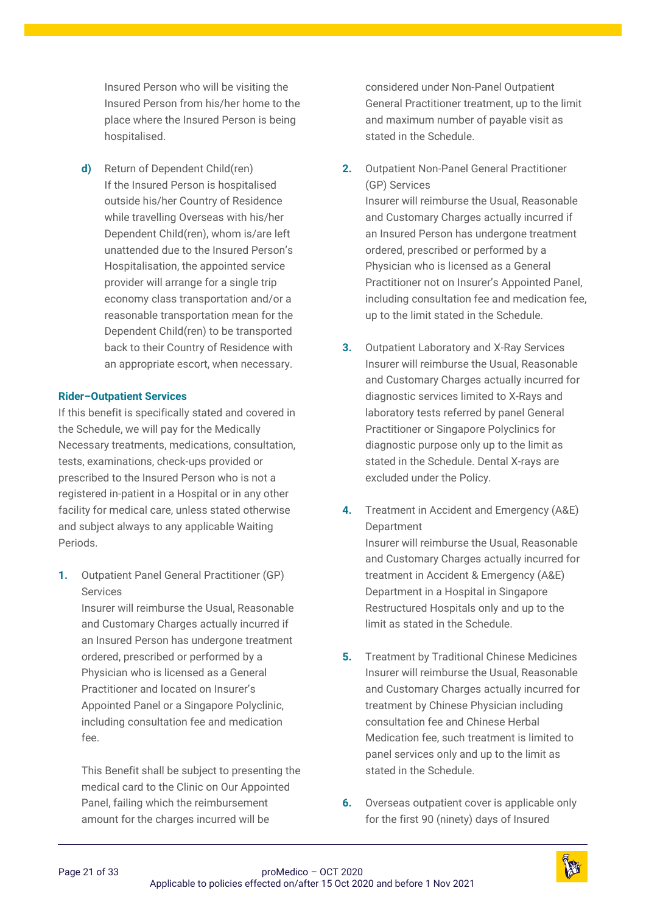Insured Person who will be visiting the Insured Person from his/her home to the place where the Insured Person is being hospitalised.

**d)** Return of Dependent Child(ren) If the Insured Person is hospitalised outside his/her Country of Residence while travelling Overseas with his/her Dependent Child(ren), whom is/are left unattended due to the Insured Person's Hospitalisation, the appointed service provider will arrange for a single trip economy class transportation and/or a reasonable transportation mean for the Dependent Child(ren) to be transported back to their Country of Residence with an appropriate escort, when necessary.

#### **Rider–Outpatient Services**

If this benefit is specifically stated and covered in the Schedule, we will pay for the Medically Necessary treatments, medications, consultation, tests, examinations, check-ups provided or prescribed to the Insured Person who is not a registered in-patient in a Hospital or in any other facility for medical care, unless stated otherwise and subject always to any applicable Waiting Periods.

**1.** Outpatient Panel General Practitioner (GP) Services

> Insurer will reimburse the Usual, Reasonable and Customary Charges actually incurred if an Insured Person has undergone treatment ordered, prescribed or performed by a Physician who is licensed as a General Practitioner and located on Insurer's Appointed Panel or a Singapore Polyclinic, including consultation fee and medication fee.

This Benefit shall be subject to presenting the medical card to the Clinic on Our Appointed Panel, failing which the reimbursement amount for the charges incurred will be

considered under Non-Panel Outpatient General Practitioner treatment, up to the limit and maximum number of payable visit as stated in the Schedule.

- **2.** Outpatient Non-Panel General Practitioner (GP) Services Insurer will reimburse the Usual, Reasonable and Customary Charges actually incurred if an Insured Person has undergone treatment ordered, prescribed or performed by a Physician who is licensed as a General Practitioner not on Insurer's Appointed Panel, including consultation fee and medication fee, up to the limit stated in the Schedule.
- **3.** Outpatient Laboratory and X-Ray Services Insurer will reimburse the Usual, Reasonable and Customary Charges actually incurred for diagnostic services limited to X-Rays and laboratory tests referred by panel General Practitioner or Singapore Polyclinics for diagnostic purpose only up to the limit as stated in the Schedule. Dental X-rays are excluded under the Policy.
- **4.** Treatment in Accident and Emergency (A&E) **Department** Insurer will reimburse the Usual, Reasonable and Customary Charges actually incurred for treatment in Accident & Emergency (A&E) Department in a Hospital in Singapore Restructured Hospitals only and up to the limit as stated in the Schedule.
- **5.** Treatment by Traditional Chinese Medicines Insurer will reimburse the Usual, Reasonable and Customary Charges actually incurred for treatment by Chinese Physician including consultation fee and Chinese Herbal Medication fee, such treatment is limited to panel services only and up to the limit as stated in the Schedule.
- **6.** Overseas outpatient cover is applicable only for the first 90 (ninety) days of Insured

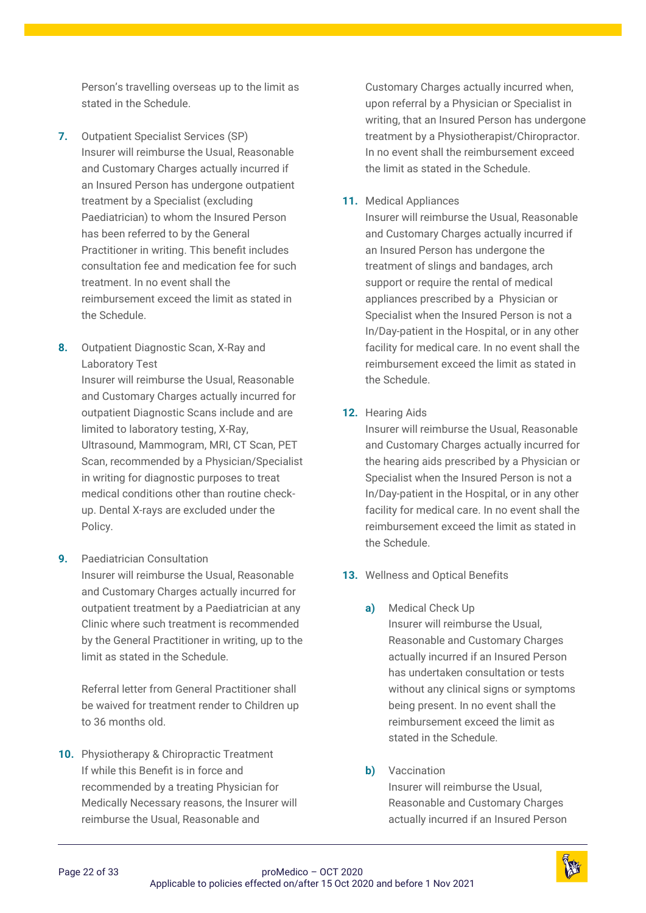Person's travelling overseas up to the limit as stated in the Schedule.

- **7.** Outpatient Specialist Services (SP) Insurer will reimburse the Usual, Reasonable and Customary Charges actually incurred if an Insured Person has undergone outpatient treatment by a Specialist (excluding Paediatrician) to whom the Insured Person has been referred to by the General Practitioner in writing. This benefit includes consultation fee and medication fee for such treatment. In no event shall the reimbursement exceed the limit as stated in the Schedule.
- **8.** Outpatient Diagnostic Scan, X-Ray and Laboratory Test

Insurer will reimburse the Usual, Reasonable and Customary Charges actually incurred for outpatient Diagnostic Scans include and are limited to laboratory testing, X-Ray, Ultrasound, Mammogram, MRI, CT Scan, PET Scan, recommended by a Physician/Specialist in writing for diagnostic purposes to treat medical conditions other than routine checkup. Dental X-rays are excluded under the Policy.

**9.** Paediatrician Consultation Insurer will reimburse the Usual, Reasonable and Customary Charges actually incurred for outpatient treatment by a Paediatrician at any Clinic where such treatment is recommended by the General Practitioner in writing, up to the limit as stated in the Schedule.

Referral letter from General Practitioner shall be waived for treatment render to Children up to 36 months old.

**10.** Physiotherapy & Chiropractic Treatment If while this Benefit is in force and recommended by a treating Physician for Medically Necessary reasons, the Insurer will reimburse the Usual, Reasonable and

Customary Charges actually incurred when, upon referral by a Physician or Specialist in writing, that an Insured Person has undergone treatment by a Physiotherapist/Chiropractor. In no event shall the reimbursement exceed the limit as stated in the Schedule.

## **11.** Medical Appliances

Insurer will reimburse the Usual, Reasonable and Customary Charges actually incurred if an Insured Person has undergone the treatment of slings and bandages, arch support or require the rental of medical appliances prescribed by a Physician or Specialist when the Insured Person is not a In/Day-patient in the Hospital, or in any other facility for medical care. In no event shall the reimbursement exceed the limit as stated in the Schedule.

#### **12.** Hearing Aids

Insurer will reimburse the Usual, Reasonable and Customary Charges actually incurred for the hearing aids prescribed by a Physician or Specialist when the Insured Person is not a In/Day-patient in the Hospital, or in any other facility for medical care. In no event shall the reimbursement exceed the limit as stated in the Schedule.

- **13.** Wellness and Optical Benefits
	- **a)** Medical Check Up Insurer will reimburse the Usual, Reasonable and Customary Charges actually incurred if an Insured Person has undertaken consultation or tests without any clinical signs or symptoms being present. In no event shall the reimbursement exceed the limit as stated in the Schedule.

## **b)** Vaccination

Insurer will reimburse the Usual, Reasonable and Customary Charges actually incurred if an Insured Person

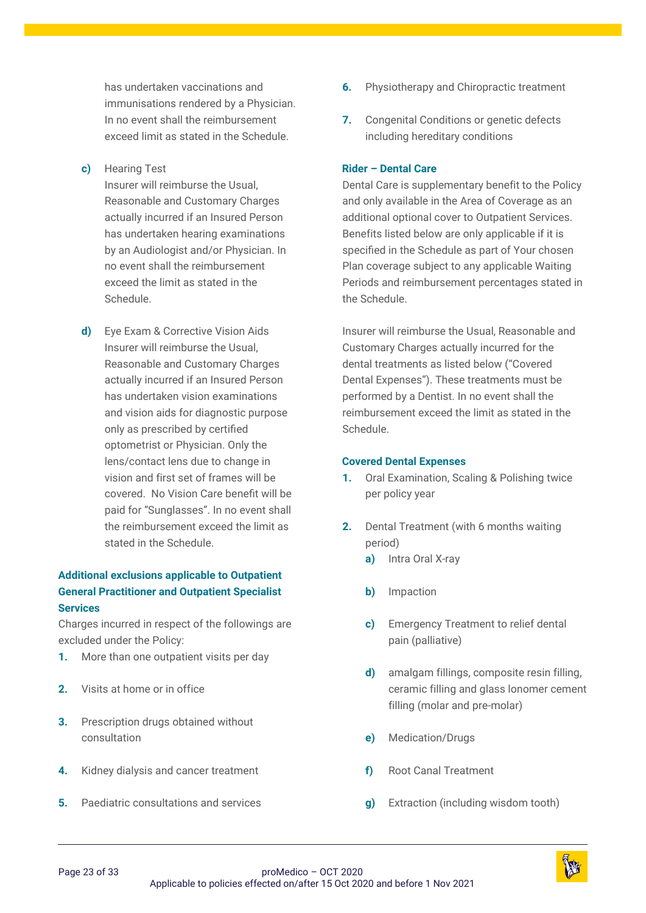has undertaken vaccinations and immunisations rendered by a Physician. In no event shall the reimbursement exceed limit as stated in the Schedule.

#### **c)** Hearing Test

Insurer will reimburse the Usual, Reasonable and Customary Charges actually incurred if an Insured Person has undertaken hearing examinations by an Audiologist and/or Physician. In no event shall the reimbursement exceed the limit as stated in the Schedule.

**d)** Eye Exam & Corrective Vision Aids Insurer will reimburse the Usual, Reasonable and Customary Charges actually incurred if an Insured Person has undertaken vision examinations and vision aids for diagnostic purpose only as prescribed by certified optometrist or Physician. Only the lens/contact lens due to change in vision and first set of frames will be covered. No Vision Care benefit will be paid for "Sunglasses". In no event shall the reimbursement exceed the limit as stated in the Schedule.

# **Additional exclusions applicable to Outpatient General Practitioner and Outpatient Specialist Services**

Charges incurred in respect of the followings are excluded under the Policy:

- **1.** More than one outpatient visits per day
- **2.** Visits at home or in office
- **3.** Prescription drugs obtained without consultation
- **4.** Kidney dialysis and cancer treatment
- **5.** Paediatric consultations and services
- **6.** Physiotherapy and Chiropractic treatment
- **7.** Congenital Conditions or genetic defects including hereditary conditions

#### **Rider – Dental Care**

Dental Care is supplementary benefit to the Policy and only available in the Area of Coverage as an additional optional cover to Outpatient Services. Benefits listed below are only applicable if it is specified in the Schedule as part of Your chosen Plan coverage subject to any applicable Waiting Periods and reimbursement percentages stated in the Schedule.

Insurer will reimburse the Usual, Reasonable and Customary Charges actually incurred for the dental treatments as listed below ("Covered Dental Expenses"). These treatments must be performed by a Dentist. In no event shall the reimbursement exceed the limit as stated in the Schedule.

#### **Covered Dental Expenses**

- **1.** Oral Examination, Scaling & Polishing twice per policy year
- **2.** Dental Treatment (with 6 months waiting period)
	- **a)** Intra Oral X-ray
	- **b)** Impaction
	- **c)** Emergency Treatment to relief dental pain (palliative)
	- **d)** amalgam fillings, composite resin filling, ceramic filling and glass lonomer cement filling (molar and pre-molar)
	- **e)** Medication/Drugs
	- **f)** Root Canal Treatment
	- **g)** Extraction (including wisdom tooth)

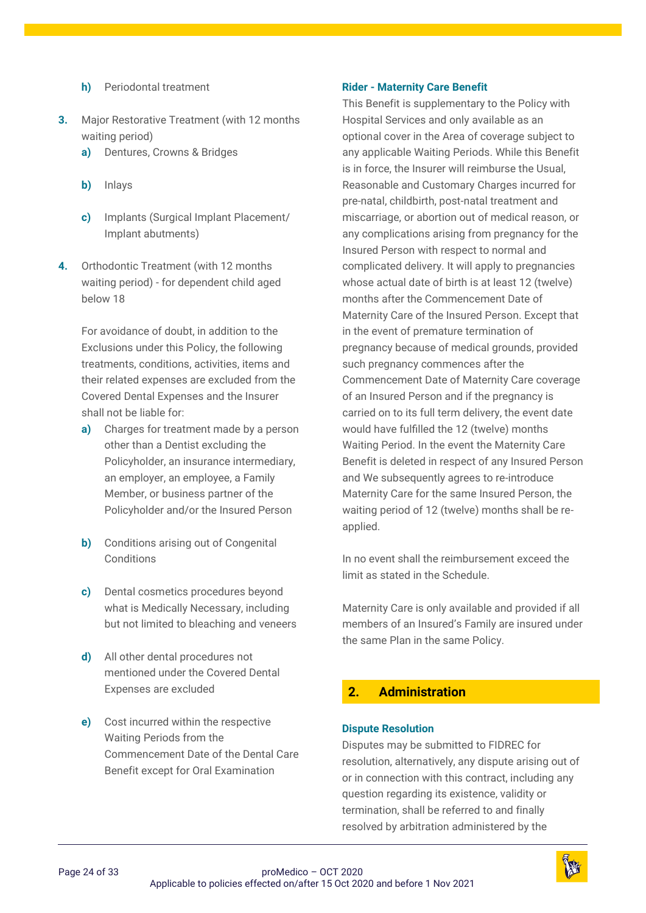- **h)** Periodontal treatment
- **3.** Major Restorative Treatment (with 12 months waiting period)
	- **a)** Dentures, Crowns & Bridges
	- **b)** Inlays
	- **c)** Implants (Surgical Implant Placement/ Implant abutments)
- **4.** Orthodontic Treatment (with 12 months waiting period) - for dependent child aged below 18

For avoidance of doubt, in addition to the Exclusions under this Policy, the following treatments, conditions, activities, items and their related expenses are excluded from the Covered Dental Expenses and the Insurer shall not be liable for:

- **a)** Charges for treatment made by a person other than a Dentist excluding the Policyholder, an insurance intermediary, an employer, an employee, a Family Member, or business partner of the Policyholder and/or the Insured Person
- **b)** Conditions arising out of Congenital **Conditions**
- **c)** Dental cosmetics procedures beyond what is Medically Necessary, including but not limited to bleaching and veneers
- **d)** All other dental procedures not mentioned under the Covered Dental Expenses are excluded
- **e)** Cost incurred within the respective Waiting Periods from the Commencement Date of the Dental Care Benefit except for Oral Examination

#### **Rider - Maternity Care Benefit**

This Benefit is supplementary to the Policy with Hospital Services and only available as an optional cover in the Area of coverage subject to any applicable Waiting Periods. While this Benefit is in force, the Insurer will reimburse the Usual, Reasonable and Customary Charges incurred for pre-natal, childbirth, post-natal treatment and miscarriage, or abortion out of medical reason, or any complications arising from pregnancy for the Insured Person with respect to normal and complicated delivery. It will apply to pregnancies whose actual date of birth is at least 12 (twelve) months after the Commencement Date of Maternity Care of the Insured Person. Except that in the event of premature termination of pregnancy because of medical grounds, provided such pregnancy commences after the Commencement Date of Maternity Care coverage of an Insured Person and if the pregnancy is carried on to its full term delivery, the event date would have fulfilled the 12 (twelve) months Waiting Period. In the event the Maternity Care Benefit is deleted in respect of any Insured Person and We subsequently agrees to re-introduce Maternity Care for the same Insured Person, the waiting period of 12 (twelve) months shall be reapplied.

In no event shall the reimbursement exceed the limit as stated in the Schedule.

Maternity Care is only available and provided if all members of an Insured's Family are insured under the same Plan in the same Policy.

# <span id="page-23-0"></span>**2. [Administration](#page-1-4)**

#### **Dispute Resolution**

Disputes may be submitted to FIDREC for resolution, alternatively, any dispute arising out of or in connection with this contract, including any question regarding its existence, validity or termination, shall be referred to and finally resolved by arbitration administered by the

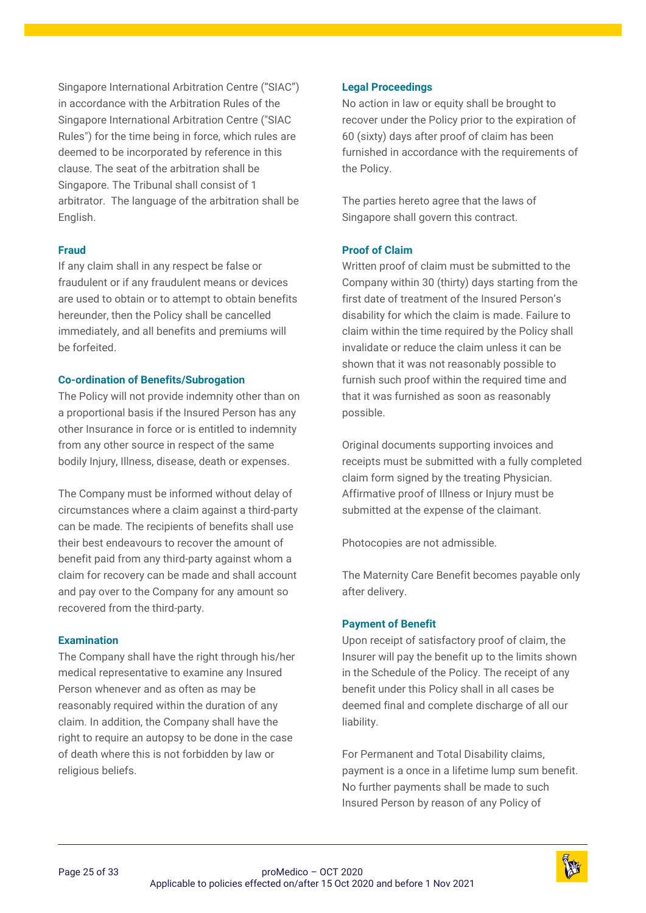Singapore International Arbitration Centre ("SIAC") in accordance with the Arbitration Rules of the Singapore International Arbitration Centre ("SIAC Rules") for the time being in force, which rules are deemed to be incorporated by reference in this clause. The seat of the arbitration shall be Singapore. The Tribunal shall consist of 1 arbitrator. The language of the arbitration shall be English.

#### **Fraud**

If any claim shall in any respect be false or fraudulent or if any fraudulent means or devices are used to obtain or to attempt to obtain benefits hereunder, then the Policy shall be cancelled immediately, and all benefits and premiums will be forfeited.

#### **Co-ordination of Benefits/Subrogation**

The Policy will not provide indemnity other than on a proportional basis if the Insured Person has any other Insurance in force or is entitled to indemnity from any other source in respect of the same bodily Injury, Illness, disease, death or expenses.

The Company must be informed without delay of circumstances where a claim against a third-party can be made. The recipients of benefits shall use their best endeavours to recover the amount of benefit paid from any third-party against whom a claim for recovery can be made and shall account and pay over to the Company for any amount so recovered from the third-party.

#### **Examination**

The Company shall have the right through his/her medical representative to examine any Insured Person whenever and as often as may be reasonably required within the duration of any claim. In addition, the Company shall have the right to require an autopsy to be done in the case of death where this is not forbidden by law or religious beliefs.

#### **Legal Proceedings**

No action in law or equity shall be brought to recover under the Policy prior to the expiration of 60 (sixty) days after proof of claim has been furnished in accordance with the requirements of the Policy.

The parties hereto agree that the laws of Singapore shall govern this contract.

#### **Proof of Claim**

Written proof of claim must be submitted to the Company within 30 (thirty) days starting from the first date of treatment of the Insured Person's disability for which the claim is made. Failure to claim within the time required by the Policy shall invalidate or reduce the claim unless it can be shown that it was not reasonably possible to furnish such proof within the required time and that it was furnished as soon as reasonably possible.

Original documents supporting invoices and receipts must be submitted with a fully completed claim form signed by the treating Physician. Affirmative proof of Illness or Injury must be submitted at the expense of the claimant.

Photocopies are not admissible.

The Maternity Care Benefit becomes payable only after delivery.

#### **Payment of Benefit**

Upon receipt of satisfactory proof of claim, the Insurer will pay the benefit up to the limits shown in the Schedule of the Policy. The receipt of any benefit under this Policy shall in all cases be deemed final and complete discharge of all our liability.

For Permanent and Total Disability claims, payment is a once in a lifetime lump sum benefit. No further payments shall be made to such Insured Person by reason of any Policy of

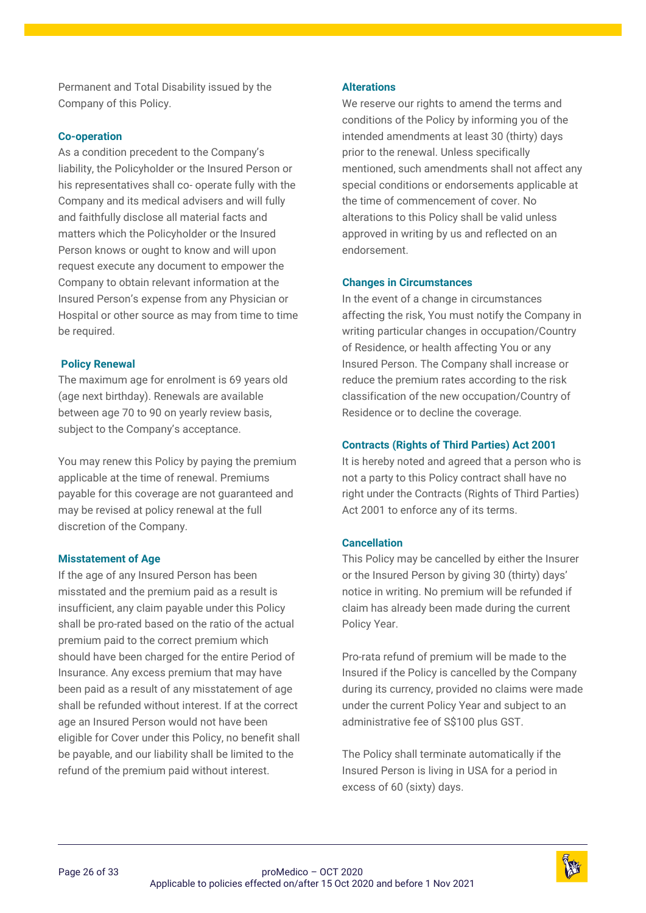Permanent and Total Disability issued by the Company of this Policy.

#### **Co-operation**

As a condition precedent to the Company's liability, the Policyholder or the Insured Person or his representatives shall co- operate fully with the Company and its medical advisers and will fully and faithfully disclose all material facts and matters which the Policyholder or the Insured Person knows or ought to know and will upon request execute any document to empower the Company to obtain relevant information at the Insured Person's expense from any Physician or Hospital or other source as may from time to time be required.

#### **Policy Renewal**

The maximum age for enrolment is 69 years old (age next birthday). Renewals are available between age 70 to 90 on yearly review basis, subject to the Company's acceptance.

You may renew this Policy by paying the premium applicable at the time of renewal. Premiums payable for this coverage are not guaranteed and may be revised at policy renewal at the full discretion of the Company.

#### **Misstatement of Age**

If the age of any Insured Person has been misstated and the premium paid as a result is insufficient, any claim payable under this Policy shall be pro-rated based on the ratio of the actual premium paid to the correct premium which should have been charged for the entire Period of Insurance. Any excess premium that may have been paid as a result of any misstatement of age shall be refunded without interest. If at the correct age an Insured Person would not have been eligible for Cover under this Policy, no benefit shall be payable, and our liability shall be limited to the refund of the premium paid without interest.

#### **Alterations**

We reserve our rights to amend the terms and conditions of the Policy by informing you of the intended amendments at least 30 (thirty) days prior to the renewal. Unless specifically mentioned, such amendments shall not affect any special conditions or endorsements applicable at the time of commencement of cover. No alterations to this Policy shall be valid unless approved in writing by us and reflected on an endorsement.

#### **Changes in Circumstances**

In the event of a change in circumstances affecting the risk, You must notify the Company in writing particular changes in occupation/Country of Residence, or health affecting You or any Insured Person. The Company shall increase or reduce the premium rates according to the risk classification of the new occupation/Country of Residence or to decline the coverage.

#### **Contracts (Rights of Third Parties) Act 2001**

It is hereby noted and agreed that a person who is not a party to this Policy contract shall have no right under the Contracts (Rights of Third Parties) Act 2001 to enforce any of its terms.

#### **Cancellation**

This Policy may be cancelled by either the Insurer or the Insured Person by giving 30 (thirty) days' notice in writing. No premium will be refunded if claim has already been made during the current Policy Year.

Pro-rata refund of premium will be made to the Insured if the Policy is cancelled by the Company during its currency, provided no claims were made under the current Policy Year and subject to an administrative fee of S\$100 plus GST.

The Policy shall terminate automatically if the Insured Person is living in USA for a period in excess of 60 (sixty) days.

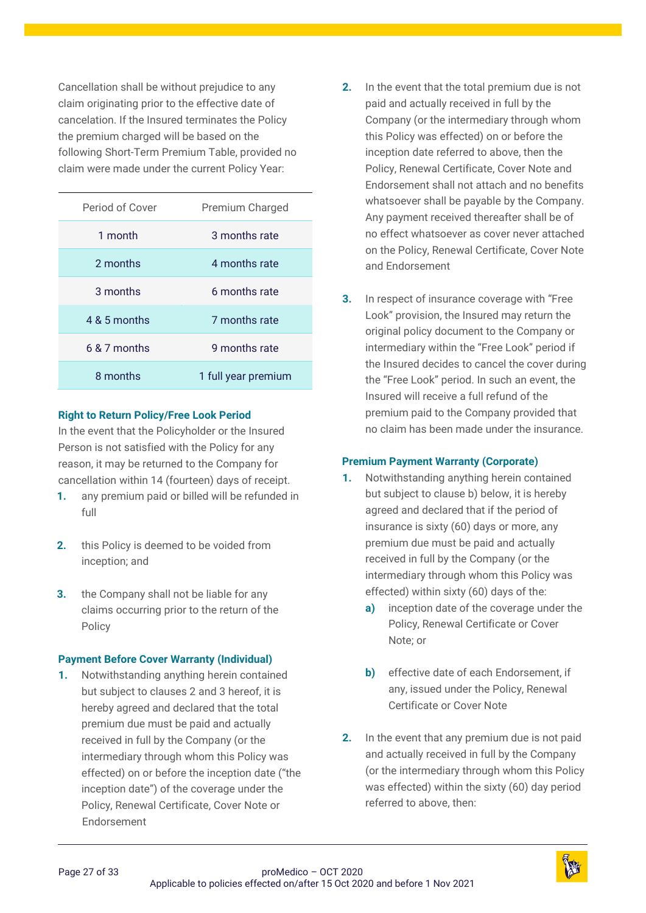Cancellation shall be without prejudice to any claim originating prior to the effective date of cancelation. If the Insured terminates the Policy the premium charged will be based on the following Short-Term Premium Table, provided no claim were made under the current Policy Year:

| Period of Cover | Premium Charged     |
|-----------------|---------------------|
| 1 month         | 3 months rate       |
| 2 months        | 4 months rate       |
| 3 months        | 6 months rate       |
| 4 & 5 months    | 7 months rate       |
| $6.8.7$ months  | 9 months rate       |
| 8 months        | 1 full year premium |

#### **Right to Return Policy/Free Look Period**

In the event that the Policyholder or the Insured Person is not satisfied with the Policy for any reason, it may be returned to the Company for cancellation within 14 (fourteen) days of receipt.

- **1.** any premium paid or billed will be refunded in full
- **2.** this Policy is deemed to be voided from inception; and
- **3.** the Company shall not be liable for any claims occurring prior to the return of the Policy

#### **Payment Before Cover Warranty (Individual)**

**1.** Notwithstanding anything herein contained but subject to clauses 2 and 3 hereof, it is hereby agreed and declared that the total premium due must be paid and actually received in full by the Company (or the intermediary through whom this Policy was effected) on or before the inception date ("the inception date") of the coverage under the Policy, Renewal Certificate, Cover Note or Endorsement

- **2.** In the event that the total premium due is not paid and actually received in full by the Company (or the intermediary through whom this Policy was effected) on or before the inception date referred to above, then the Policy, Renewal Certificate, Cover Note and Endorsement shall not attach and no benefits whatsoever shall be payable by the Company. Any payment received thereafter shall be of no effect whatsoever as cover never attached on the Policy, Renewal Certificate, Cover Note and Endorsement
- **3.** In respect of insurance coverage with "Free Look" provision, the Insured may return the original policy document to the Company or intermediary within the "Free Look" period if the Insured decides to cancel the cover during the "Free Look" period. In such an event, the Insured will receive a full refund of the premium paid to the Company provided that no claim has been made under the insurance.

#### **Premium Payment Warranty (Corporate)**

- **1.** Notwithstanding anything herein contained but subject to clause b) below, it is hereby agreed and declared that if the period of insurance is sixty (60) days or more, any premium due must be paid and actually received in full by the Company (or the intermediary through whom this Policy was effected) within sixty (60) days of the:
	- **a)** inception date of the coverage under the Policy, Renewal Certificate or Cover Note; or
	- **b)** effective date of each Endorsement, if any, issued under the Policy, Renewal Certificate or Cover Note
- **2.** In the event that any premium due is not paid and actually received in full by the Company (or the intermediary through whom this Policy was effected) within the sixty (60) day period referred to above, then:

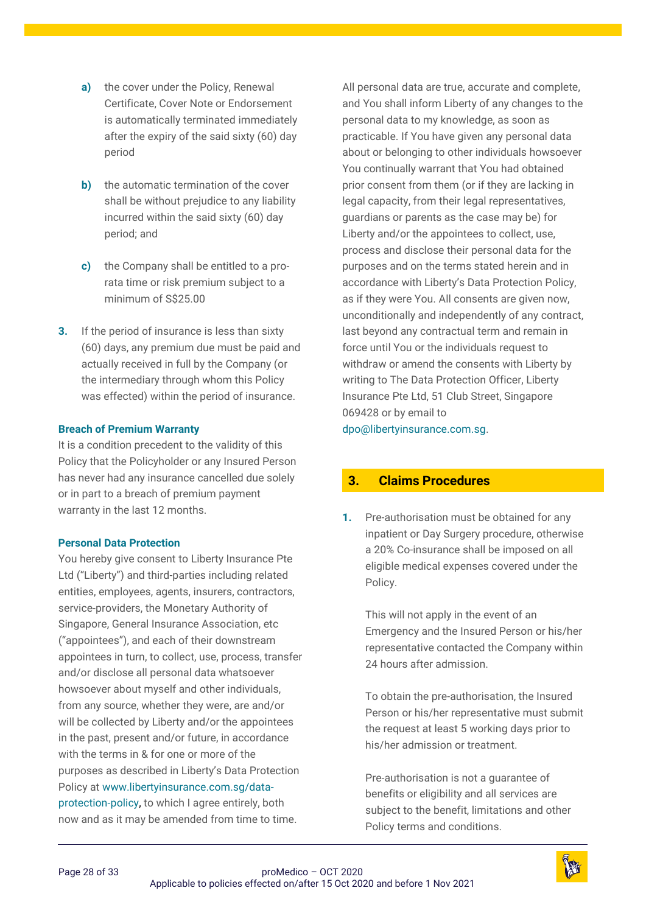- **a)** the cover under the Policy, Renewal Certificate, Cover Note or Endorsement is automatically terminated immediately after the expiry of the said sixty (60) day period
- **b)** the automatic termination of the cover shall be without prejudice to any liability incurred within the said sixty (60) day period; and
- **c)** the Company shall be entitled to a prorata time or risk premium subject to a minimum of S\$25.00
- **3.** If the period of insurance is less than sixty (60) days, any premium due must be paid and actually received in full by the Company (or the intermediary through whom this Policy was effected) within the period of insurance.

#### **Breach of Premium Warranty**

It is a condition precedent to the validity of this Policy that the Policyholder or any Insured Person has never had any insurance cancelled due solely or in part to a breach of premium payment warranty in the last 12 months.

#### **Personal Data Protection**

You hereby give consent to Liberty Insurance Pte Ltd ("Liberty") and third-parties including related entities, employees, agents, insurers, contractors, service-providers, the Monetary Authority of Singapore, General Insurance Association, etc ("appointees"), and each of their downstream appointees in turn, to collect, use, process, transfer and/or disclose all personal data whatsoever howsoever about myself and other individuals, from any source, whether they were, are and/or will be collected by Liberty and/or the appointees in the past, present and/or future, in accordance with the terms in & for one or more of the purposes as described in Liberty's Data Protection Policy at [www.libertyinsurance.com.sg/data](http://www.libertyinsurance.com.sg/data-protection-policy)[protection-policy,](http://www.libertyinsurance.com.sg/data-protection-policy) to which I agree entirely, both now and as it may be amended from time to time.

All personal data are true, accurate and complete, and You shall inform Liberty of any changes to the personal data to my knowledge, as soon as practicable. If You have given any personal data about or belonging to other individuals howsoever You continually warrant that You had obtained prior consent from them (or if they are lacking in legal capacity, from their legal representatives, guardians or parents as the case may be) for Liberty and/or the appointees to collect, use, process and disclose their personal data for the purposes and on the terms stated herein and in accordance with Liberty's Data Protection Policy, as if they were You. All consents are given now, unconditionally and independently of any contract, last beyond any contractual term and remain in force until You or the individuals request to withdraw or amend the consents with Liberty by writing to The Data Protection Officer, Liberty Insurance Pte Ltd, 51 Club Street, Singapore 069428 or by email to

[dpo@libertyinsurance.com.sg.](mailto:dpo@libertyinsurance.com.sg)

# <span id="page-27-0"></span>**3. [Claims Procedures](#page-1-5)**

**1.** Pre-authorisation must be obtained for any inpatient or Day Surgery procedure, otherwise a 20% Co-insurance shall be imposed on all eligible medical expenses covered under the Policy.

This will not apply in the event of an Emergency and the Insured Person or his/her representative contacted the Company within 24 hours after admission.

To obtain the pre-authorisation, the Insured Person or his/her representative must submit the request at least 5 working days prior to his/her admission or treatment.

Pre-authorisation is not a guarantee of benefits or eligibility and all services are subject to the benefit, limitations and other Policy terms and conditions.

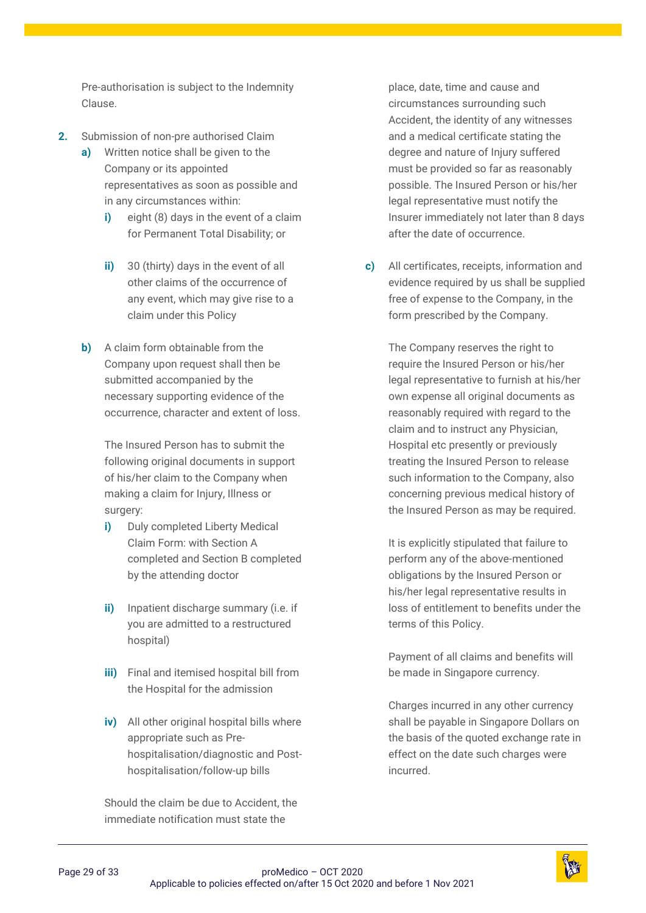Pre-authorisation is subject to the Indemnity Clause.

- **2.** Submission of non-pre authorised Claim
	- **a)** Written notice shall be given to the Company or its appointed representatives as soon as possible and in any circumstances within:
		- **i)** eight (8) days in the event of a claim for Permanent Total Disability; or
		- **ii)** 30 (thirty) days in the event of all other claims of the occurrence of any event, which may give rise to a claim under this Policy
	- **b)** A claim form obtainable from the Company upon request shall then be submitted accompanied by the necessary supporting evidence of the occurrence, character and extent of loss.

The Insured Person has to submit the following original documents in support of his/her claim to the Company when making a claim for Injury, Illness or surgery:

- **i)** Duly completed Liberty Medical Claim Form: with Section A completed and Section B completed by the attending doctor
- **ii)** Inpatient discharge summary (i.e. if you are admitted to a restructured hospital)
- **iii)** Final and itemised hospital bill from the Hospital for the admission
- **iv)** All other original hospital bills where appropriate such as Prehospitalisation/diagnostic and Posthospitalisation/follow-up bills

Should the claim be due to Accident, the immediate notification must state the

place, date, time and cause and circumstances surrounding such Accident, the identity of any witnesses and a medical certificate stating the degree and nature of Injury suffered must be provided so far as reasonably possible. The Insured Person or his/her legal representative must notify the Insurer immediately not later than 8 days after the date of occurrence.

**c)** All certificates, receipts, information and evidence required by us shall be supplied free of expense to the Company, in the form prescribed by the Company.

> The Company reserves the right to require the Insured Person or his/her legal representative to furnish at his/her own expense all original documents as reasonably required with regard to the claim and to instruct any Physician, Hospital etc presently or previously treating the Insured Person to release such information to the Company, also concerning previous medical history of the Insured Person as may be required.

> It is explicitly stipulated that failure to perform any of the above-mentioned obligations by the Insured Person or his/her legal representative results in loss of entitlement to benefits under the terms of this Policy.

Payment of all claims and benefits will be made in Singapore currency.

Charges incurred in any other currency shall be payable in Singapore Dollars on the basis of the quoted exchange rate in effect on the date such charges were incurred.

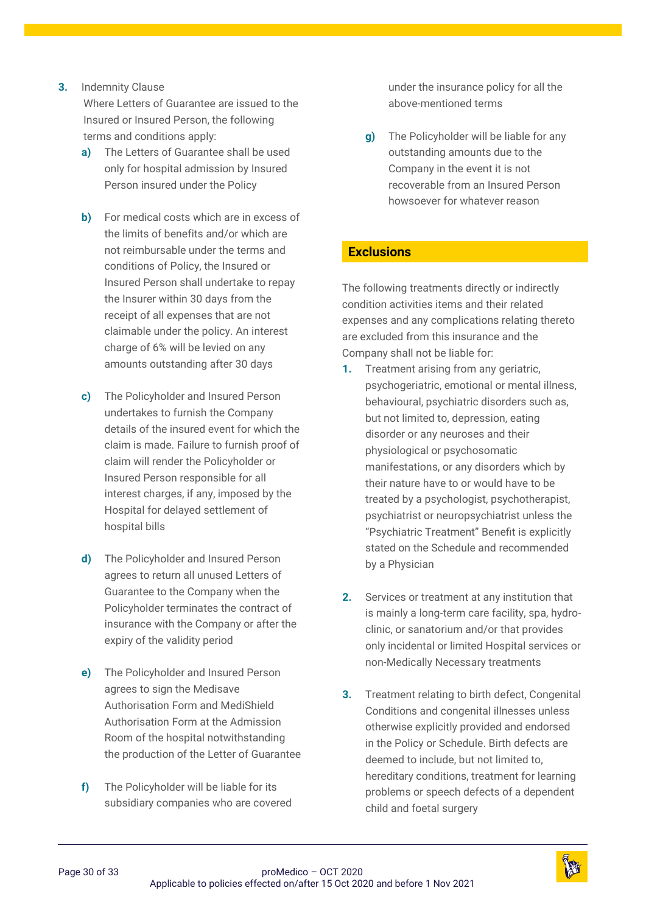#### **3.** Indemnity Clause

Where Letters of Guarantee are issued to the Insured or Insured Person, the following terms and conditions apply:

- **a)** The Letters of Guarantee shall be used only for hospital admission by Insured Person insured under the Policy
- **b)** For medical costs which are in excess of the limits of benefits and/or which are not reimbursable under the terms and conditions of Policy, the Insured or Insured Person shall undertake to repay the Insurer within 30 days from the receipt of all expenses that are not claimable under the policy. An interest charge of 6% will be levied on any amounts outstanding after 30 days
- **c)** The Policyholder and Insured Person undertakes to furnish the Company details of the insured event for which the claim is made. Failure to furnish proof of claim will render the Policyholder or Insured Person responsible for all interest charges, if any, imposed by the Hospital for delayed settlement of hospital bills
- **d)** The Policyholder and Insured Person agrees to return all unused Letters of Guarantee to the Company when the Policyholder terminates the contract of insurance with the Company or after the expiry of the validity period
- **e)** The Policyholder and Insured Person agrees to sign the Medisave Authorisation Form and MediShield Authorisation Form at the Admission Room of the hospital notwithstanding the production of the Letter of Guarantee
- **f)** The Policyholder will be liable for its subsidiary companies who are covered

under the insurance policy for all the above-mentioned terms

**g)** The Policyholder will be liable for any outstanding amounts due to the Company in the event it is not recoverable from an Insured Person howsoever for whatever reason

# <span id="page-29-0"></span>**[Exclusions](#page-1-6)**

The following treatments directly or indirectly condition activities items and their related expenses and any complications relating thereto are excluded from this insurance and the Company shall not be liable for:

- **1.** Treatment arising from any geriatric, psychogeriatric, emotional or mental illness, behavioural, psychiatric disorders such as, but not limited to, depression, eating disorder or any neuroses and their physiological or psychosomatic manifestations, or any disorders which by their nature have to or would have to be treated by a psychologist, psychotherapist, psychiatrist or neuropsychiatrist unless the "Psychiatric Treatment" Benefit is explicitly stated on the Schedule and recommended by a Physician
- **2.** Services or treatment at any institution that is mainly a long-term care facility, spa, hydroclinic, or sanatorium and/or that provides only incidental or limited Hospital services or non-Medically Necessary treatments
- **3.** Treatment relating to birth defect, Congenital Conditions and congenital illnesses unless otherwise explicitly provided and endorsed in the Policy or Schedule. Birth defects are deemed to include, but not limited to, hereditary conditions, treatment for learning problems or speech defects of a dependent child and foetal surgery

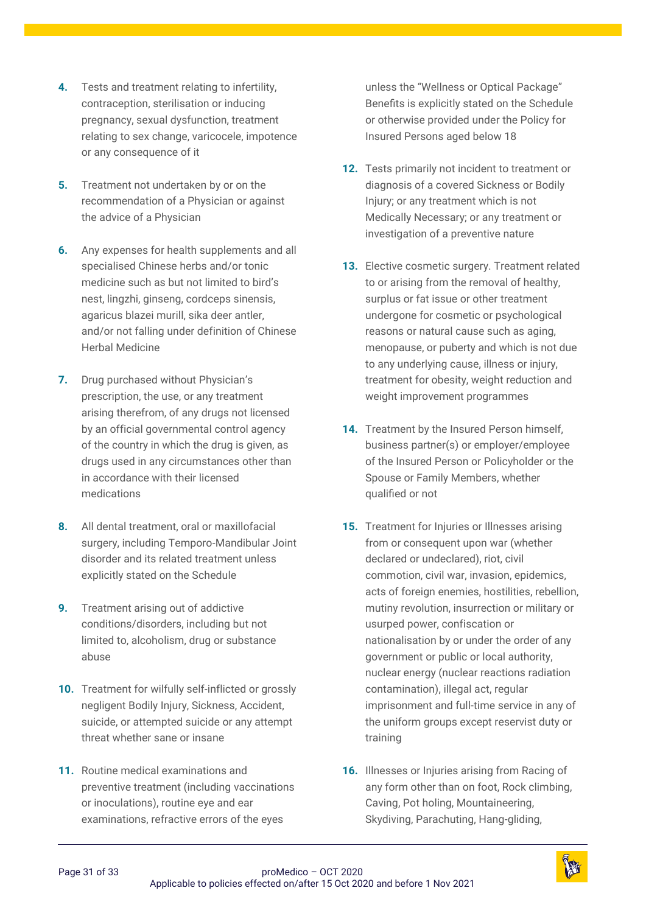- **4.** Tests and treatment relating to infertility, contraception, sterilisation or inducing pregnancy, sexual dysfunction, treatment relating to sex change, varicocele, impotence or any consequence of it
- **5.** Treatment not undertaken by or on the recommendation of a Physician or against the advice of a Physician
- **6.** Any expenses for health supplements and all specialised Chinese herbs and/or tonic medicine such as but not limited to bird's nest, lingzhi, ginseng, cordceps sinensis, agaricus blazei murill, sika deer antler, and/or not falling under definition of Chinese Herbal Medicine
- **7.** Drug purchased without Physician's prescription, the use, or any treatment arising therefrom, of any drugs not licensed by an official governmental control agency of the country in which the drug is given, as drugs used in any circumstances other than in accordance with their licensed medications
- **8.** All dental treatment, oral or maxillofacial surgery, including Temporo-Mandibular Joint disorder and its related treatment unless explicitly stated on the Schedule
- **9.** Treatment arising out of addictive conditions/disorders, including but not limited to, alcoholism, drug or substance abuse
- **10.** Treatment for wilfully self-inflicted or grossly negligent Bodily Injury, Sickness, Accident, suicide, or attempted suicide or any attempt threat whether sane or insane
- **11.** Routine medical examinations and preventive treatment (including vaccinations or inoculations), routine eye and ear examinations, refractive errors of the eyes

unless the "Wellness or Optical Package" Benefits is explicitly stated on the Schedule or otherwise provided under the Policy for Insured Persons aged below 18

- **12.** Tests primarily not incident to treatment or diagnosis of a covered Sickness or Bodily Injury; or any treatment which is not Medically Necessary; or any treatment or investigation of a preventive nature
- **13.** Elective cosmetic surgery. Treatment related to or arising from the removal of healthy, surplus or fat issue or other treatment undergone for cosmetic or psychological reasons or natural cause such as aging, menopause, or puberty and which is not due to any underlying cause, illness or injury, treatment for obesity, weight reduction and weight improvement programmes
- **14.** Treatment by the Insured Person himself, business partner(s) or employer/employee of the Insured Person or Policyholder or the Spouse or Family Members, whether qualified or not
- **15.** Treatment for Injuries or Illnesses arising from or consequent upon war (whether declared or undeclared), riot, civil commotion, civil war, invasion, epidemics, acts of foreign enemies, hostilities, rebellion, mutiny revolution, insurrection or military or usurped power, confiscation or nationalisation by or under the order of any government or public or local authority, nuclear energy (nuclear reactions radiation contamination), illegal act, regular imprisonment and full-time service in any of the uniform groups except reservist duty or training
- **16.** Illnesses or Injuries arising from Racing of any form other than on foot, Rock climbing, Caving, Pot holing, Mountaineering, Skydiving, Parachuting, Hang-gliding,

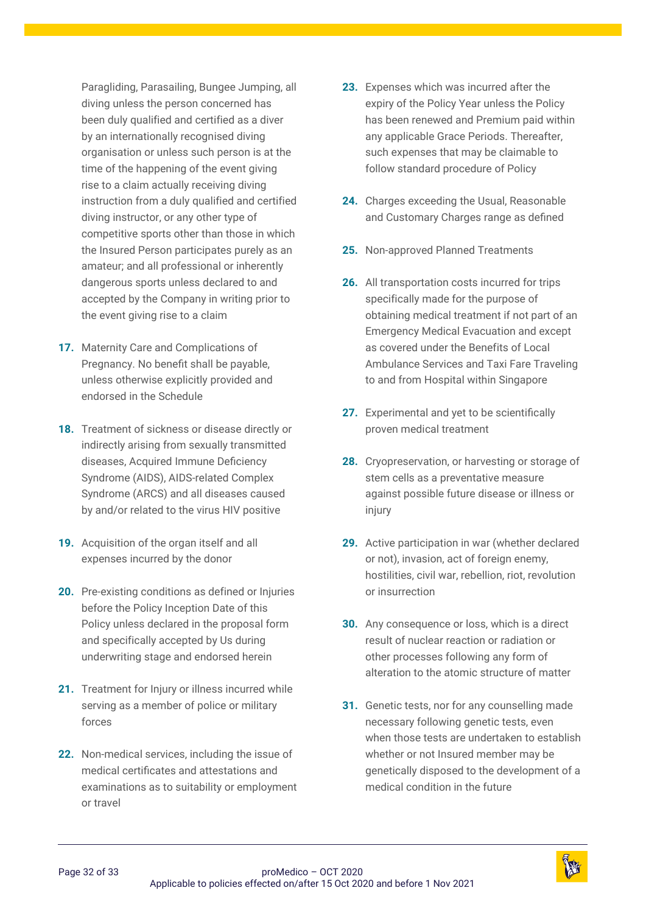Paragliding, Parasailing, Bungee Jumping, all diving unless the person concerned has been duly qualified and certified as a diver by an internationally recognised diving organisation or unless such person is at the time of the happening of the event giving rise to a claim actually receiving diving instruction from a duly qualified and certified diving instructor, or any other type of competitive sports other than those in which the Insured Person participates purely as an amateur; and all professional or inherently dangerous sports unless declared to and accepted by the Company in writing prior to the event giving rise to a claim

- **17.** Maternity Care and Complications of Pregnancy. No benefit shall be payable, unless otherwise explicitly provided and endorsed in the Schedule
- **18.** Treatment of sickness or disease directly or indirectly arising from sexually transmitted diseases, Acquired Immune Deficiency Syndrome (AIDS), AIDS-related Complex Syndrome (ARCS) and all diseases caused by and/or related to the virus HIV positive
- **19.** Acquisition of the organ itself and all expenses incurred by the donor
- **20.** Pre-existing conditions as defined or Injuries before the Policy Inception Date of this Policy unless declared in the proposal form and specifically accepted by Us during underwriting stage and endorsed herein
- **21.** Treatment for Injury or illness incurred while serving as a member of police or military forces
- **22.** Non-medical services, including the issue of medical certificates and attestations and examinations as to suitability or employment or travel
- **23.** Expenses which was incurred after the expiry of the Policy Year unless the Policy has been renewed and Premium paid within any applicable Grace Periods. Thereafter, such expenses that may be claimable to follow standard procedure of Policy
- **24.** Charges exceeding the Usual, Reasonable and Customary Charges range as defined
- **25.** Non-approved Planned Treatments
- **26.** All transportation costs incurred for trips specifically made for the purpose of obtaining medical treatment if not part of an Emergency Medical Evacuation and except as covered under the Benefits of Local Ambulance Services and Taxi Fare Traveling to and from Hospital within Singapore
- **27.** Experimental and yet to be scientifically proven medical treatment
- **28.** Cryopreservation, or harvesting or storage of stem cells as a preventative measure against possible future disease or illness or injury
- **29.** Active participation in war (whether declared or not), invasion, act of foreign enemy, hostilities, civil war, rebellion, riot, revolution or insurrection
- **30.** Any consequence or loss, which is a direct result of nuclear reaction or radiation or other processes following any form of alteration to the atomic structure of matter
- **31.** Genetic tests, nor for any counselling made necessary following genetic tests, even when those tests are undertaken to establish whether or not Insured member may be genetically disposed to the development of a medical condition in the future